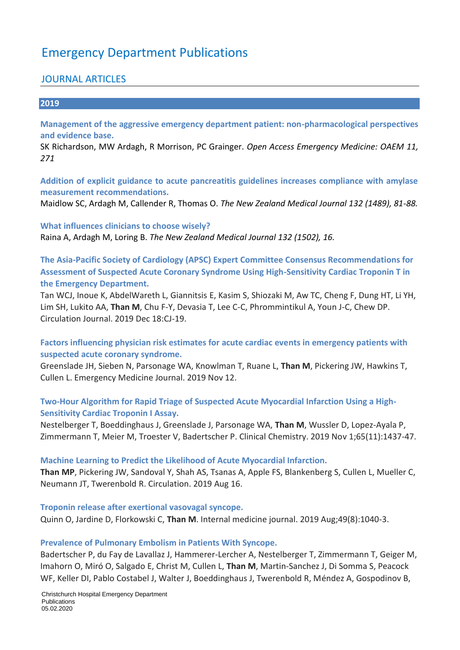# Emergency Department Publications

### JOURNAL ARTICLES

#### **2019**

**Management of the aggressive emergency department patient: non-pharmacological perspectives and evidence base.** 

SK Richardson, MW Ardagh, R Morrison, PC Grainger. *Open Access Emergency Medicine: OAEM 11, 271*

**Addition of explicit guidance to acute pancreatitis guidelines increases compliance with amylase measurement recommendations.** 

Maidlow SC, Ardagh M, Callender R, Thomas O. *The New Zealand Medical Journal 132 (1489), 81-88.*

**What influences clinicians to choose wisely?**  Raina A, Ardagh M, Loring B. *The New Zealand Medical Journal 132 (1502), 16.*

**The Asia-Pacific Society of Cardiology (APSC) Expert Committee Consensus Recommendations for Assessment of Suspected Acute Coronary Syndrome Using High-Sensitivity Cardiac Troponin T in the Emergency Department.** 

Tan WCJ, Inoue K, AbdelWareth L, Giannitsis E, Kasim S, Shiozaki M, Aw TC, Cheng F, Dung HT, Li YH, Lim SH, Lukito AA, **Than M**, Chu F-Y, Devasia T, Lee C-C, Phrommintikul A, Youn J-C, Chew DP. Circulation Journal. 2019 Dec 18:CJ-19.

**Factors influencing physician risk estimates for acute cardiac events in emergency patients with suspected acute coronary syndrome.** 

Greenslade JH, Sieben N, Parsonage WA, Knowlman T, Ruane L, **Than M**, Pickering JW, Hawkins T, Cullen L. Emergency Medicine Journal. 2019 Nov 12.

### **Two-Hour Algorithm for Rapid Triage of Suspected Acute Myocardial Infarction Using a High-Sensitivity Cardiac Troponin I Assay.**

Nestelberger T, Boeddinghaus J, Greenslade J, Parsonage WA, **Than M**, Wussler D, Lopez-Ayala P, Zimmermann T, Meier M, Troester V, Badertscher P. Clinical Chemistry. 2019 Nov 1;65(11):1437-47.

#### **Machine Learning to Predict the Likelihood of Acute Myocardial Infarction.**

**Than MP**, Pickering JW, Sandoval Y, Shah AS, Tsanas A, Apple FS, Blankenberg S, Cullen L, Mueller C, Neumann JT, Twerenbold R. Circulation. 2019 Aug 16.

**Troponin release after exertional vasovagal syncope.** Quinn O, Jardine D, Florkowski C, **Than M**. Internal medicine journal. 2019 Aug;49(8):1040-3.

#### **Prevalence of Pulmonary Embolism in Patients With Syncope.**

Badertscher P, du Fay de Lavallaz J, Hammerer-Lercher A, Nestelberger T, Zimmermann T, Geiger M, Imahorn O, Miró O, Salgado E, Christ M, Cullen L, **Than M**, Martin-Sanchez J, Di Somma S, Peacock WF, Keller DI, Pablo Costabel J, Walter J, Boeddinghaus J, Twerenbold R, Méndez A, Gospodinov B,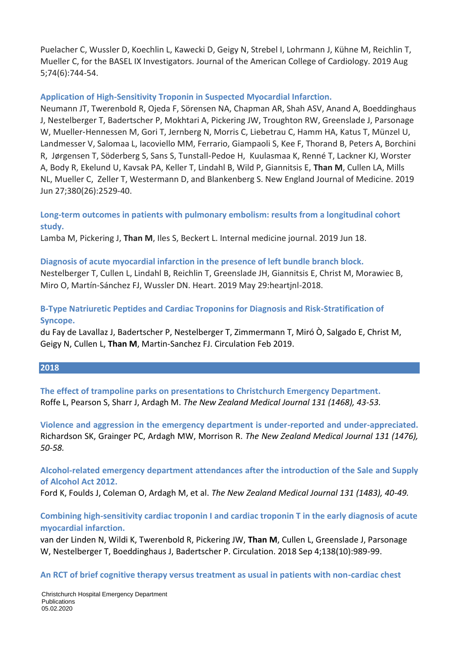Puelacher C, Wussler D, Koechlin L, Kawecki D, Geigy N, Strebel I, Lohrmann J, Kühne M, Reichlin T, Mueller C, for the BASEL IX Investigators. Journal of the American College of Cardiology. 2019 Aug 5;74(6):744-54.

### **Application of High-Sensitivity Troponin in Suspected Myocardial Infarction.**

Neumann JT, Twerenbold R, Ojeda F, Sörensen NA, Chapman AR, Shah ASV, Anand A, Boeddinghaus J, Nestelberger T, Badertscher P, Mokhtari A, Pickering JW, Troughton RW, Greenslade J, Parsonage W, Mueller‑Hennessen M, Gori T, Jernberg N, Morris C, Liebetrau C, Hamm HA, Katus T, Münzel U, Landmesser V, Salomaa L, Iacoviello MM, Ferrario, Giampaoli S, Kee F, Thorand B, Peters A, Borchini R, Jørgensen T, Söderberg S, Sans S, Tunstall‑Pedoe H, Kuulasmaa K, Renné T, Lackner KJ, Worster A, Body R, Ekelund U, Kavsak PA, Keller T, Lindahl B, Wild P, Giannitsis E, **Than M**, Cullen LA, Mills NL, Mueller C, Zeller T, Westermann D, and Blankenberg S. New England Journal of Medicine. 2019 Jun 27;380(26):2529-40.

### **Long‐term outcomes in patients with pulmonary embolism: results from a longitudinal cohort study.**

Lamba M, Pickering J, **Than M**, Iles S, Beckert L. Internal medicine journal. 2019 Jun 18.

### **Diagnosis of acute myocardial infarction in the presence of left bundle branch block.**

Nestelberger T, Cullen L, Lindahl B, Reichlin T, Greenslade JH, Giannitsis E, Christ M, Morawiec B, Miro O, Martín-Sánchez FJ, Wussler DN. Heart. 2019 May 29:heartjnl-2018.

### **B-Type Natriuretic Peptides and Cardiac Troponins for Diagnosis and Risk-Stratification of Syncope.**

du Fay de Lavallaz J, Badertscher P, Nestelberger T, Zimmermann T, Miró Ò, Salgado E, Christ M, Geigy N, Cullen L, **Than M**, Martin-Sanchez FJ. Circulation Feb 2019.

#### **2018**

**The effect of trampoline parks on presentations to Christchurch Emergency Department.**  Roffe L, Pearson S, Sharr J, Ardagh M. *The New Zealand Medical Journal 131 (1468), 43-53.*

**Violence and aggression in the emergency department is under-reported and under-appreciated.**  Richardson SK, Grainger PC, Ardagh MW, Morrison R. *The New Zealand Medical Journal 131 (1476), 50-58.*

**Alcohol-related emergency department attendances after the introduction of the Sale and Supply of Alcohol Act 2012.** 

Ford K, Foulds J, Coleman O, Ardagh M, et al. *The New Zealand Medical Journal 131 (1483), 40-49.*

### **Combining high-sensitivity cardiac troponin I and cardiac troponin T in the early diagnosis of acute myocardial infarction.**

van der Linden N, Wildi K, Twerenbold R, Pickering JW, **Than M**, Cullen L, Greenslade J, Parsonage W, Nestelberger T, Boeddinghaus J, Badertscher P. Circulation. 2018 Sep 4;138(10):989-99.

**An RCT of brief cognitive therapy versus treatment as usual in patients with non-cardiac chest**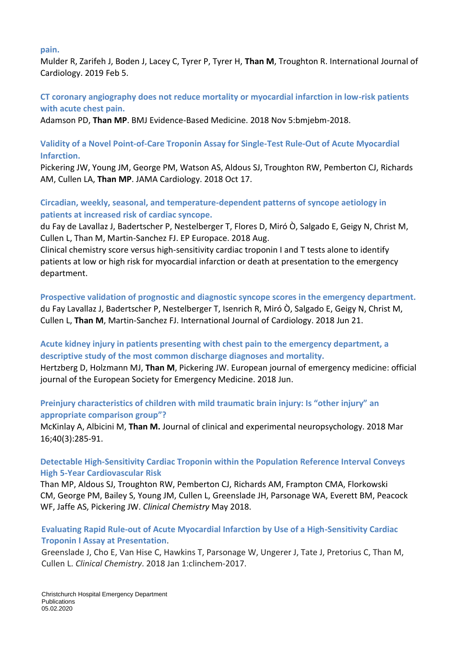#### **pain.**

Mulder R, Zarifeh J, Boden J, Lacey C, Tyrer P, Tyrer H, **Than M**, Troughton R. International Journal of Cardiology. 2019 Feb 5.

### **CT coronary angiography does not reduce mortality or myocardial infarction in low-risk patients with acute chest pain.**

Adamson PD, **Than MP**. BMJ Evidence-Based Medicine. 2018 Nov 5:bmjebm-2018.

### **Validity of a Novel Point-of-Care Troponin Assay for Single-Test Rule-Out of Acute Myocardial Infarction.**

Pickering JW, Young JM, George PM, Watson AS, Aldous SJ, Troughton RW, Pemberton CJ, Richards AM, Cullen LA, **Than MP**. JAMA Cardiology. 2018 Oct 17.

### **Circadian, weekly, seasonal, and temperature-dependent patterns of syncope aetiology in patients at increased risk of cardiac syncope.**

du Fay de Lavallaz J, Badertscher P, Nestelberger T, Flores D, Miró Ò, Salgado E, Geigy N, Christ M, Cullen L, Than M, Martin-Sanchez FJ. EP Europace. 2018 Aug.

Clinical chemistry score versus high-sensitivity cardiac troponin I and T tests alone to identify patients at low or high risk for myocardial infarction or death at presentation to the emergency department.

**Prospective validation of prognostic and diagnostic syncope scores in the emergency department.**  du Fay Lavallaz J, Badertscher P, Nestelberger T, Isenrich R, Miró Ò, Salgado E, Geigy N, Christ M, Cullen L, **Than M**, Martin-Sanchez FJ. International Journal of Cardiology. 2018 Jun 21.

### **Acute kidney injury in patients presenting with chest pain to the emergency department, a descriptive study of the most common discharge diagnoses and mortality.**

Hertzberg D, Holzmann MJ, **Than M**, Pickering JW. European journal of emergency medicine: official journal of the European Society for Emergency Medicine. 2018 Jun.

### **Preinjury characteristics of children with mild traumatic brain injury: Is "other injury" an appropriate comparison group"?**

McKinlay A, Albicini M, **Than M.** Journal of clinical and experimental neuropsychology. 2018 Mar 16;40(3):285-91.

### **Detectable High-Sensitivity Cardiac Troponin within the Population Reference Interval Conveys High 5-Year Cardiovascular Risk**

Than MP, Aldous SJ, Troughton RW, Pemberton CJ, Richards AM, Frampton CMA, Florkowski CM, George PM, Bailey S, Young JM, Cullen L, Greenslade JH, Parsonage WA, Everett BM, Peacock WF, Jaffe AS, Pickering JW. *Clinical Chemistry* May 2018.

### **Evaluating Rapid Rule-out of Acute Myocardial Infarction by Use of a High-Sensitivity Cardiac Troponin I Assay at Presentation**.

Greenslade J, Cho E, Van Hise C, Hawkins T, Parsonage W, Ungerer J, Tate J, Pretorius C, Than M, Cullen L. *Clinical Chemistry*. 2018 Jan 1:clinchem-2017.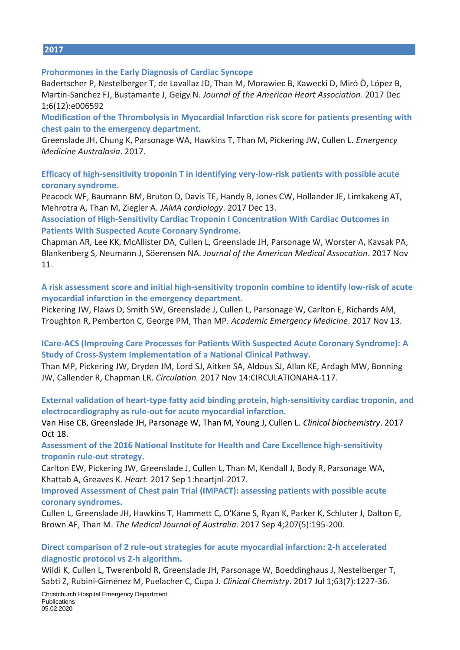#### **2017**

#### **Prohormones in the Early Diagnosis of Cardiac Syncope**

Badertscher P, Nestelberger T, de Lavallaz JD, Than M, Morawiec B, Kawecki D, Miró Ò, López B, Martin‐Sanchez FJ, Bustamante J, Geigy N. *Journal of the American Heart Association*. 2017 Dec 1;6(12):e006592

**Modification of the Thrombolysis in Myocardial Infarction risk score for patients presenting with chest pain to the emergency department.** 

Greenslade JH, Chung K, Parsonage WA, Hawkins T, Than M, Pickering JW, Cullen L. *Emergency Medicine Australasia*. 2017.

**Efficacy of high-sensitivity troponin T in identifying very-low-risk patients with possible acute coronary syndrome.** 

Peacock WF, Baumann BM, Bruton D, Davis TE, Handy B, Jones CW, Hollander JE, Limkakeng AT, Mehrotra A, Than M, Ziegler A. *JAMA cardiology*. 2017 Dec 13.

**Association of High-Sensitivity Cardiac Troponin I Concentration With Cardiac Outcomes in Patients With Suspected Acute Coronary Syndrome.** 

Chapman AR, Lee KK, McAllister DA, Cullen L, Greenslade JH, Parsonage W, Worster A, Kavsak PA, Blankenberg S, Neumann J, Söerensen NA. *Journal of the American Medical Assocation*. 2017 Nov 11.

**A risk assessment score and initial high‐sensitivity troponin combine to identify low‐risk of acute myocardial infarction in the emergency department.** 

Pickering JW, Flaws D, Smith SW, Greenslade J, Cullen L, Parsonage W, Carlton E, Richards AM, Troughton R, Pemberton C, George PM, Than MP. *Academic Emergency Medicine*. 2017 Nov 13.

#### **ICare-ACS (Improving Care Processes for Patients With Suspected Acute Coronary Syndrome): A Study of Cross-System Implementation of a National Clinical Pathway.**

Than MP, Pickering JW, Dryden JM, Lord SJ, Aitken SA, Aldous SJ, Allan KE, Ardagh MW, Bonning JW, Callender R, Chapman LR. *Circulation.* 2017 Nov 14:CIRCULATIONAHA-117.

**External validation of heart-type fatty acid binding protein, high-sensitivity cardiac troponin, and electrocardiography as rule-out for acute myocardial infarction.** 

Van Hise CB, Greenslade JH, Parsonage W, Than M, Young J, Cullen L. *Clinical biochemistry*. 2017 Oct 18.

**Assessment of the 2016 National Institute for Health and Care Excellence high-sensitivity troponin rule-out strategy.** 

Carlton EW, Pickering JW, Greenslade J, Cullen L, Than M, Kendall J, Body R, Parsonage WA, Khattab A, Greaves K. *Heart.* 2017 Sep 1:heartjnl-2017.

**Improved Assessment of Chest pain Trial (IMPACT): assessing patients with possible acute coronary syndromes.** 

Cullen L, Greenslade JH, Hawkins T, Hammett C, O'Kane S, Ryan K, Parker K, Schluter J, Dalton E, Brown AF, Than M. *The Medical Journal of Australia*. 2017 Sep 4;207(5):195-200.

#### **Direct comparison of 2 rule-out strategies for acute myocardial infarction: 2-h accelerated diagnostic protocol vs 2-h algorithm.**

Wildi K, Cullen L, Twerenbold R, Greenslade JH, Parsonage W, Boeddinghaus J, Nestelberger T, Sabti Z, Rubini-Giménez M, Puelacher C, Cupa J. *Clinical Chemistry*. 2017 Jul 1;63(7):1227-36.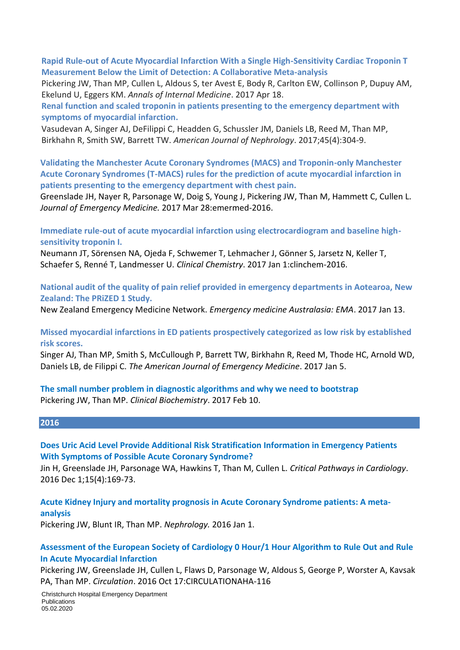**Rapid Rule-out of Acute Myocardial Infarction With a Single High-Sensitivity Cardiac Troponin T Measurement Below the Limit of Detection: A Collaborative Meta-analysis**

Pickering JW, Than MP, Cullen L, Aldous S, ter Avest E, Body R, Carlton EW, Collinson P, Dupuy AM, Ekelund U, Eggers KM. *Annals of Internal Medicine*. 2017 Apr 18.

**Renal function and scaled troponin in patients presenting to the emergency department with symptoms of myocardial infarction.** 

Vasudevan A, Singer AJ, DeFilippi C, Headden G, Schussler JM, Daniels LB, Reed M, Than MP, Birkhahn R, Smith SW, Barrett TW. *American Journal of Nephrology*. 2017;45(4):304-9.

**Validating the Manchester Acute Coronary Syndromes (MACS) and Troponin-only Manchester Acute Coronary Syndromes (T-MACS) rules for the prediction of acute myocardial infarction in patients presenting to the emergency department with chest pain.** 

Greenslade JH, Nayer R, Parsonage W, Doig S, Young J, Pickering JW, Than M, Hammett C, Cullen L. *Journal of Emergency Medicine.* 2017 Mar 28:emermed-2016.

**Immediate rule-out of acute myocardial infarction using electrocardiogram and baseline highsensitivity troponin I.** 

Neumann JT, Sörensen NA, Ojeda F, Schwemer T, Lehmacher J, Gönner S, Jarsetz N, Keller T, Schaefer S, Renné T, Landmesser U. *Clinical Chemistry*. 2017 Jan 1:clinchem-2016.

**National audit of the quality of pain relief provided in emergency departments in Aotearoa, New Zealand: The PRiZED 1 Study.** 

New Zealand Emergency Medicine Network. *Emergency medicine Australasia: EMA*. 2017 Jan 13.

**Missed myocardial infarctions in ED patients prospectively categorized as low risk by established risk scores.** 

Singer AJ, Than MP, Smith S, McCullough P, Barrett TW, Birkhahn R, Reed M, Thode HC, Arnold WD, Daniels LB, de Filippi C. *The American Journal of Emergency Medicine*. 2017 Jan 5.

**The small number problem in diagnostic algorithms and why we need to bootstrap**  Pickering JW, Than MP. *Clinical Biochemistry*. 2017 Feb 10.

#### **2016**

**Does Uric Acid Level Provide Additional Risk Stratification Information in Emergency Patients With Symptoms of Possible Acute Coronary Syndrome?** 

Jin H, Greenslade JH, Parsonage WA, Hawkins T, Than M, Cullen L. *Critical Pathways in Cardiology*. 2016 Dec 1;15(4):169-73.

**Acute Kidney Injury and mortality prognosis in Acute Coronary Syndrome patients: A meta‐ analysis** 

Pickering JW, Blunt IR, Than MP. *Nephrology.* 2016 Jan 1.

#### **Assessment of the European Society of Cardiology 0 Hour/1 Hour Algorithm to Rule Out and Rule In Acute Myocardial Infarction**

Pickering JW, Greenslade JH, Cullen L, Flaws D, Parsonage W, Aldous S, George P, Worster A, Kavsak PA, Than MP. *Circulation*. 2016 Oct 17:CIRCULATIONAHA-116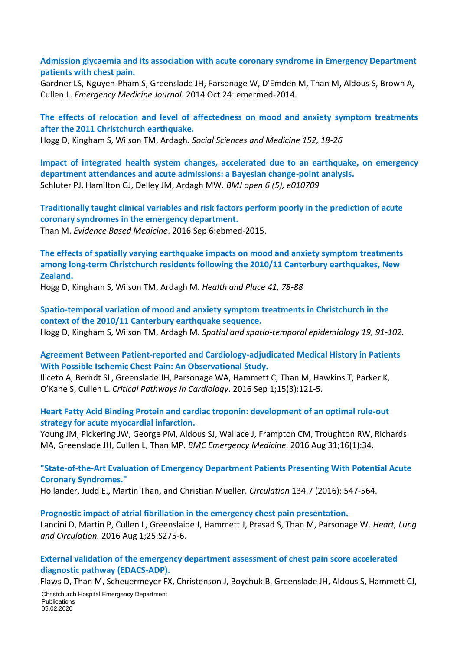**Admission glycaemia and its association with acute coronary syndrome in Emergency Department patients with chest pain.** 

Gardner LS, Nguyen-Pham S, Greenslade JH, Parsonage W, D'Emden M, Than M, Aldous S, Brown A, Cullen L. *Emergency Medicine Journal*. 2014 Oct 24: emermed-2014.

**The effects of relocation and level of affectedness on mood and anxiety symptom treatments after the 2011 Christchurch earthquake.** 

Hogg D, Kingham S, Wilson TM, Ardagh. *Social Sciences and Medicine 152, 18-26*

**Impact of integrated health system changes, accelerated due to an earthquake, on emergency department attendances and acute admissions: a Bayesian change-point analysis.**  Schluter PJ, Hamilton GJ, Delley JM, Ardagh MW. *BMJ open 6 (5), e010709*

**Traditionally taught clinical variables and risk factors perform poorly in the prediction of acute coronary syndromes in the emergency department.**

Than M. *Evidence Based Medicine*. 2016 Sep 6:ebmed-2015.

**The effects of spatially varying earthquake impacts on mood and anxiety symptom treatments among long-term Christchurch residents following the 2010/11 Canterbury earthquakes, New Zealand.**

Hogg D, Kingham S, Wilson TM, Ardagh M. *Health and Place 41, 78-88*

**Spatio-temporal variation of mood and anxiety symptom treatments in Christchurch in the context of the 2010/11 Canterbury earthquake sequence.** 

Hogg D, Kingham S, Wilson TM, Ardagh M. *Spatial and spatio-temporal epidemiology 19, 91-102.*

**Agreement Between Patient-reported and Cardiology-adjudicated Medical History in Patients With Possible Ischemic Chest Pain: An Observational Study.** 

Iliceto A, Berndt SL, Greenslade JH, Parsonage WA, Hammett C, Than M, Hawkins T, Parker K, O'Kane S, Cullen L. *Critical Pathways in Cardiology*. 2016 Sep 1;15(3):121-5.

#### **Heart Fatty Acid Binding Protein and cardiac troponin: development of an optimal rule-out strategy for acute myocardial infarction.**

Young JM, Pickering JW, George PM, Aldous SJ, Wallace J, Frampton CM, Troughton RW, Richards MA, Greenslade JH, Cullen L, Than MP. *BMC Emergency Medicine*. 2016 Aug 31;16(1):34.

**"State-of-the-Art Evaluation of Emergency Department Patients Presenting With Potential Acute Coronary Syndromes."** 

Hollander, Judd E., Martin Than, and Christian Mueller. *Circulation* 134.7 (2016): 547-564.

**Prognostic impact of atrial fibrillation in the emergency chest pain presentation.** 

Lancini D, Martin P, Cullen L, Greenslaide J, Hammett J, Prasad S, Than M, Parsonage W. *Heart, Lung and Circulation.* 2016 Aug 1;25:S275-6.

**External validation of the emergency department assessment of chest pain score accelerated diagnostic pathway (EDACS-ADP).** 

Flaws D, Than M, Scheuermeyer FX, Christenson J, Boychuk B, Greenslade JH, Aldous S, Hammett CJ,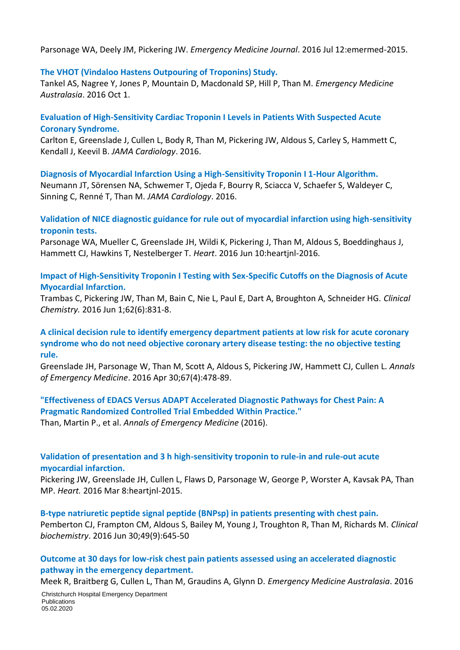Parsonage WA, Deely JM, Pickering JW. *Emergency Medicine Journal*. 2016 Jul 12:emermed-2015.

### **The VHOT (Vindaloo Hastens Outpouring of Troponins) Study.**

Tankel AS, Nagree Y, Jones P, Mountain D, Macdonald SP, Hill P, Than M. *Emergency Medicine Australasia*. 2016 Oct 1.

### **Evaluation of High-Sensitivity Cardiac Troponin I Levels in Patients With Suspected Acute Coronary Syndrome.**

Carlton E, Greenslade J, Cullen L, Body R, Than M, Pickering JW, Aldous S, Carley S, Hammett C, Kendall J, Keevil B. *JAMA Cardiology*. 2016.

**Diagnosis of Myocardial Infarction Using a High-Sensitivity Troponin I 1-Hour Algorithm.** Neumann JT, Sörensen NA, Schwemer T, Ojeda F, Bourry R, Sciacca V, Schaefer S, Waldeyer C, Sinning C, Renné T, Than M. *JAMA Cardiology*. 2016.

### **Validation of NICE diagnostic guidance for rule out of myocardial infarction using high-sensitivity troponin tests.**

Parsonage WA, Mueller C, Greenslade JH, Wildi K, Pickering J, Than M, Aldous S, Boeddinghaus J, Hammett CJ, Hawkins T, Nestelberger T. *Heart*. 2016 Jun 10:heartjnl-2016.

**Impact of High-Sensitivity Troponin I Testing with Sex-Specific Cutoffs on the Diagnosis of Acute Myocardial Infarction.** 

Trambas C, Pickering JW, Than M, Bain C, Nie L, Paul E, Dart A, Broughton A, Schneider HG. *Clinical Chemistry.* 2016 Jun 1;62(6):831-8.

### **A clinical decision rule to identify emergency department patients at low risk for acute coronary syndrome who do not need objective coronary artery disease testing: the no objective testing rule.**

Greenslade JH, Parsonage W, Than M, Scott A, Aldous S, Pickering JW, Hammett CJ, Cullen L. *Annals of Emergency Medicine*. 2016 Apr 30;67(4):478-89.

### **"Effectiveness of EDACS Versus ADAPT Accelerated Diagnostic Pathways for Chest Pain: A Pragmatic Randomized Controlled Trial Embedded Within Practice."**

Than, Martin P., et al. *Annals of Emergency Medicine* (2016).

### **Validation of presentation and 3 h high-sensitivity troponin to rule-in and rule-out acute myocardial infarction.**

Pickering JW, Greenslade JH, Cullen L, Flaws D, Parsonage W, George P, Worster A, Kavsak PA, Than MP. *Heart.* 2016 Mar 8:heartjnl-2015.

**B-type natriuretic peptide signal peptide (BNPsp) in patients presenting with chest pain.** Pemberton CJ, Frampton CM, Aldous S, Bailey M, Young J, Troughton R, Than M, Richards M. *Clinical biochemistry*. 2016 Jun 30;49(9):645-50

**Outcome at 30 days for low‐risk chest pain patients assessed using an accelerated diagnostic pathway in the emergency department.** 

Meek R, Braitberg G, Cullen L, Than M, Graudins A, Glynn D. *Emergency Medicine Australasia*. 2016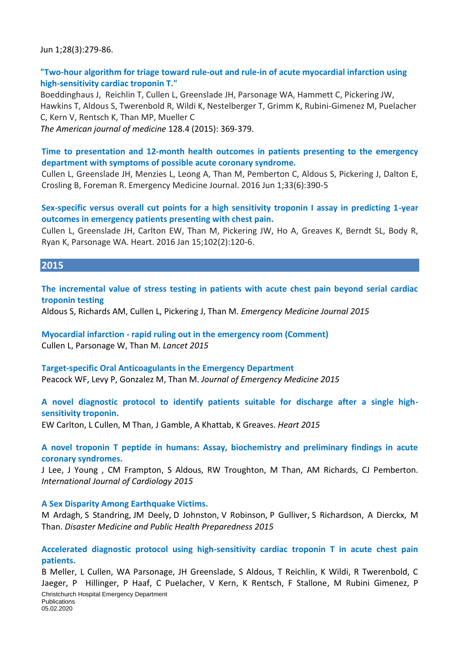Jun 1;28(3):279-86.

### **"Two-hour algorithm for triage toward rule-out and rule-in of acute myocardial infarction using high-sensitivity cardiac troponin T."**

Boeddinghaus J, Reichlin T, Cullen L, Greenslade JH, Parsonage WA, Hammett C, Pickering JW, Hawkins T, Aldous S, Twerenbold R, Wildi K, Nestelberger T, Grimm K, Rubini-Gimenez M, Puelacher C, Kern V, Rentsch K, Than MP, Mueller C

*The American journal of medicine* 128.4 (2015): 369-379.

### **Time to presentation and 12-month health outcomes in patients presenting to the emergency department with symptoms of possible acute coronary syndrome.**

Cullen L, Greenslade JH, Menzies L, Leong A, Than M, Pemberton C, Aldous S, Pickering J, Dalton E, Crosling B, Foreman R. Emergency Medicine Journal. 2016 Jun 1;33(6):390-5

### **Sex-specific versus overall cut points for a high sensitivity troponin I assay in predicting 1-year outcomes in emergency patients presenting with chest pain.**

Cullen L, Greenslade JH, Carlton EW, Than M, Pickering JW, Ho A, Greaves K, Berndt SL, Body R, Ryan K, Parsonage WA. Heart. 2016 Jan 15;102(2):120-6.

### **2015**

**The incremental value of stress testing in patients with acute chest pain beyond serial cardiac troponin testing**

Aldous S, Richards AM, Cullen L, Pickering J, Than M. *Emergency Medicine Journal 2015*

**Myocardial infarction - rapid ruling out in the emergency room (Comment)** Cullen L, Parsonage W, Than M. *Lancet 2015*

### **Target-specific Oral Anticoagulants in the Emergency Department** Peacock WF, Levy P, Gonzalez M, Than M. *Journal of Emergency Medicine 2015*

### **A novel diagnostic protocol to identify patients suitable for discharge after a single highsensitivity troponin.**

EW Carlton, L Cullen, M Than, J Gamble, A Khattab, K Greaves. *Heart 2015*

### **A novel troponin T peptide in humans: Assay, biochemistry and preliminary findings in acute coronary syndromes.**

J Lee, J Young , CM Frampton, S Aldous, RW Troughton, M Than, AM Richards, CJ Pemberton. *International Journal of Cardiology 2015*

#### **A Sex Disparity Among Earthquake Victims.**

M Ardagh, S Standring, JM Deely, D Johnston, V Robinson, P Gulliver, S Richardson, A Dierckx, M Than. *Disaster Medicine and Public Health Preparedness 2015*

### **Accelerated diagnostic protocol using high-sensitivity cardiac troponin T in acute chest pain patients.**

Christchurch Hospital Emergency Department **Publications** 05.02.2020 B Meller, L Cullen, WA Parsonage, JH Greenslade, S Aldous, T Reichlin, K Wildi, R Twerenbold, C Jaeger, P Hillinger, P Haaf, C Puelacher, V Kern, K Rentsch, F Stallone, M Rubini Gimenez, P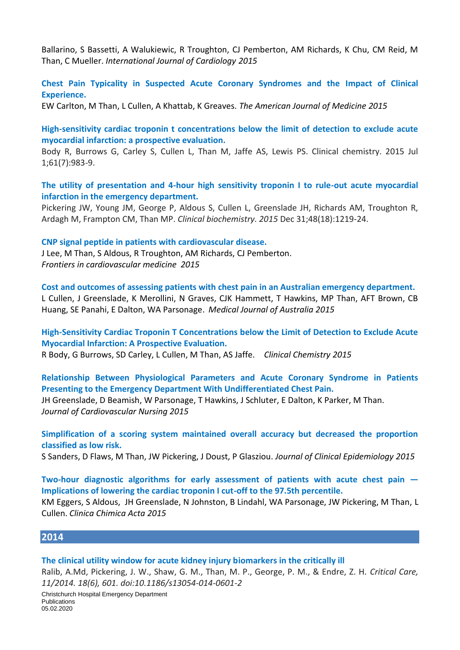Ballarino, S Bassetti, A Walukiewic, R Troughton, CJ Pemberton, AM Richards, K Chu, CM Reid, M Than, C Mueller. *International Journal of Cardiology 2015*

**Chest Pain Typicality in Suspected Acute Coronary Syndromes and the Impact of Clinical Experience.**

EW Carlton, M Than, L Cullen, A Khattab, K Greaves. *The American Journal of Medicine 2015*

**High-sensitivity cardiac troponin t concentrations below the limit of detection to exclude acute myocardial infarction: a prospective evaluation.** 

Body R, Burrows G, Carley S, Cullen L, Than M, Jaffe AS, Lewis PS. Clinical chemistry. 2015 Jul 1;61(7):983-9.

**The utility of presentation and 4-hour high sensitivity troponin I to rule-out acute myocardial infarction in the emergency department.** 

Pickering JW, Young JM, George P, Aldous S, Cullen L, Greenslade JH, Richards AM, Troughton R, Ardagh M, Frampton CM, Than MP. *Clinical biochemistry. 2015* Dec 31;48(18):1219-24.

**CNP signal peptide in patients with cardiovascular disease.** 

J Lee, M Than, S Aldous, R Troughton, AM Richards, CJ Pemberton. *Frontiers in cardiovascular medicine 2015*

**Cost and outcomes of assessing patients with chest pain in an Australian emergency department.**  L Cullen, J Greenslade, K Merollini, N Graves, CJK Hammett, T Hawkins, MP Than, AFT Brown, CB Huang, SE Panahi, E Dalton, WA Parsonage. *Medical Journal of Australia 2015*

**High-Sensitivity Cardiac Troponin T Concentrations below the Limit of Detection to Exclude Acute Myocardial Infarction: A Prospective Evaluation.** 

R Body, G Burrows, SD Carley, L Cullen, M Than, AS Jaffe. *Clinical Chemistry 2015*

**Relationship Between Physiological Parameters and Acute Coronary Syndrome in Patients Presenting to the Emergency Department With Undifferentiated Chest Pain.** 

JH Greenslade, D Beamish, W Parsonage, T Hawkins, J Schluter, E Dalton, K Parker, M Than. *Journal of Cardiovascular Nursing 2015*

**Simplification of a scoring system maintained overall accuracy but decreased the proportion classified as low risk.** 

S Sanders, D Flaws, M Than, JW Pickering, J Doust, P Glasziou. *Journal of Clinical Epidemiology 2015*

**Two-hour diagnostic algorithms for early assessment of patients with acute chest pain — Implications of lowering the cardiac troponin I cut-off to the 97.5th percentile.** 

KM Eggers, S Aldous, JH Greenslade, N Johnston, B Lindahl, WA Parsonage, JW Pickering, M Than, L Cullen. *Clinica Chimica Acta 2015*

#### **2014**

#### **The clinical utility window for acute kidney injury biomarkers in the critically ill**

Christchurch Hospital Emergency Department **Publications** 05.02.2020 Ralib, A.Md, Pickering, J. W., Shaw, G. M., Than, M. P., George, P. M., & Endre, Z. H. *Critical Care, 11/2014. 18(6), 601. doi:10.1186/s13054-014-0601-2*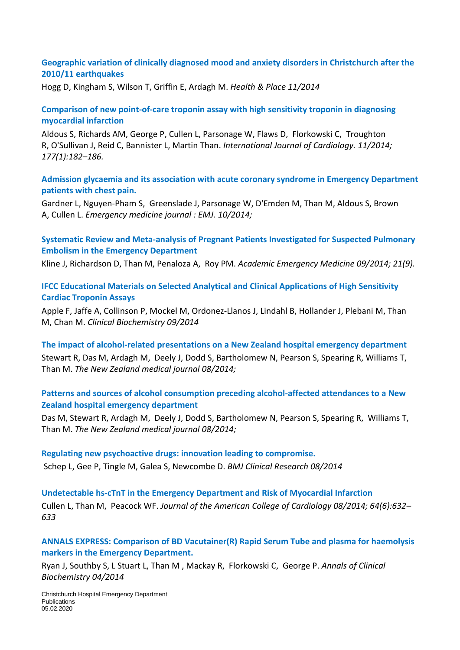### **[Geographic variation of clinically diagnosed mood and anxiety disorders in Christchurch after the](https://www.researchgate.net/publication/267572871_Geographic_variation_of_clinically_diagnosed_mood_and_anxiety_disorders_in_Christchurch_after_the_201011_earthquakes?ev=srch_pub&_sg=QpmB6iv9sAnDcuUO9kx8kX38pN47WkrZ2lnCZAc4vtEZODg3usfWwGhlz6GBcitQ_iQjK93Qda554bQM6fKpV9DnDxYutWoC0CPES0c1hli%2FD7Roe4BJCKrltbMiFGbAM_kNMKmpFvGaVEGvQ6VYFUR%2FwkpUWlxjYmMklmmCkwval8q2fTnxnF1ITNQ0ILw58l)  [2010/11 earthquakes](https://www.researchgate.net/publication/267572871_Geographic_variation_of_clinically_diagnosed_mood_and_anxiety_disorders_in_Christchurch_after_the_201011_earthquakes?ev=srch_pub&_sg=QpmB6iv9sAnDcuUO9kx8kX38pN47WkrZ2lnCZAc4vtEZODg3usfWwGhlz6GBcitQ_iQjK93Qda554bQM6fKpV9DnDxYutWoC0CPES0c1hli%2FD7Roe4BJCKrltbMiFGbAM_kNMKmpFvGaVEGvQ6VYFUR%2FwkpUWlxjYmMklmmCkwval8q2fTnxnF1ITNQ0ILw58l)**

[Hogg](https://www.researchgate.net/researcher/2049175136_Daniel_Hogg) D, [Kingham](https://www.researchgate.net/researcher/14558775_Simon_Kingham) S, [Wilson](https://www.researchgate.net/researcher/2049156825_Thomas_M_Wilson) T, [Griffin](https://www.researchgate.net/researcher/2004158503_Edward_Griffin) E, [Ardagh](https://www.researchgate.net/researcher/48107809_Michael_Ardagh) M. *Health & Place 11/2014*

### **[Comparison of new point-of-care troponin assay with high sensitivity troponin in diagnosing](https://www.researchgate.net/publication/267159765_Comparison_of_new_point-of-care_troponin_assay_with_high_sensitivity_troponin_in_diagnosing_myocardial_infarction?ev=prf_pub)  [myocardial infarction](https://www.researchgate.net/publication/267159765_Comparison_of_new_point-of-care_troponin_assay_with_high_sensitivity_troponin_in_diagnosing_myocardial_infarction?ev=prf_pub)**

[Aldous](https://www.researchgate.net/researcher/56913768_Sally_Aldous) S, [Richards](https://www.researchgate.net/researcher/39397100_A_Mark_Richards) AM, [George](https://www.researchgate.net/researcher/2045608953_Peter_M_George) P, [Cullen](https://www.researchgate.net/researcher/36484553_Louise_Cullen) L, [Parsonage](https://www.researchgate.net/researcher/15045812_William_A_Parsonage) W, [Flaws](https://www.researchgate.net/researcher/54277598_Dylan_Flaws) D, [Florkowski](https://www.researchgate.net/researcher/2034168173_Christopher_M_Florkowski) C, [Troughton](https://www.researchgate.net/researcher/14026544_Richard_W_Troughton) R, [O'Sullivan](https://www.researchgate.net/researcher/2056551832_Jack_W_OSullivan) J, [Reid](https://www.researchgate.net/researcher/19069077_Christopher_M_Reid) C, [Bannister](https://www.researchgate.net/researcher/2042403677_Laura_Bannister) L, Martin Than. *International Journal of Cardiology. 11/2014; 177(1):182–186.*

**[Admission glycaemia and its association with acute coronary syndrome in Emergency Department](https://www.researchgate.net/publication/267743983_Admission_glycaemia_and_its_association_with_acute_coronary_syndrome_in_Emergency_Department_patients_with_chest_pain?ev=prf_pub)  [patients with chest pain.](https://www.researchgate.net/publication/267743983_Admission_glycaemia_and_its_association_with_acute_coronary_syndrome_in_Emergency_Department_patients_with_chest_pain?ev=prf_pub)**

Gardner L, [Nguyen-Pham](https://www.researchgate.net/researcher/2057395938_Sallyanne_Nguyen-Pham) S, [Greenslade](https://www.researchgate.net/researcher/46224709_Jaimi_H_Greenslade) J, [Parsonage](https://www.researchgate.net/researcher/15045812_William_Parsonage) W, [D'Emden](https://www.researchgate.net/researcher/2057423248_Michael_DEmden) M, Than M, [Aldous](https://www.researchgate.net/researcher/56913768_Sally_Aldous) S, [Brown](https://www.researchgate.net/researcher/15476175_Anthony_Brown) A, [Cullen](https://www.researchgate.net/researcher/36484553_Louise_Cullen) L. *Emergency medicine journal : EMJ. 10/2014;*

### **[Systematic Review and Meta-analysis of Pregnant Patients Investigated for Suspected Pulmonary](https://www.researchgate.net/publication/266378763_Systematic_Review_and_Meta-analysis_of_Pregnant_Patients_Investigated_for_Suspected_Pulmonary_Embolism_in_the_Emergency_Department?ev=prf_pub)  [Embolism in the Emergency Department](https://www.researchgate.net/publication/266378763_Systematic_Review_and_Meta-analysis_of_Pregnant_Patients_Investigated_for_Suspected_Pulmonary_Embolism_in_the_Emergency_Department?ev=prf_pub)**

[Kline](https://www.researchgate.net/researcher/15904504_Jeffrey_A_Kline) J, [Richardson](https://www.researchgate.net/researcher/2055210718_Danielle_M_Richardson) D, Than M, [Penaloza](https://www.researchgate.net/researcher/80802762_Andrea_Penaloza) A, [Roy](https://www.researchgate.net/researcher/38869031_Pierre-Marie_Roy) PM. *Academic Emergency Medicine 09/2014; 21(9).*

#### **[IFCC Educational Materials on Selected Analytical and Clinical Applications of High Sensitivity](https://www.researchgate.net/publication/265513456_IFCC_Educational_Materials_on_Selected_Analytical_and_Clinical_Applications_of_High_Sensitivity_Cardiac_Troponin_Assays?ev=prf_pub)  [Cardiac Troponin Assays](https://www.researchgate.net/publication/265513456_IFCC_Educational_Materials_on_Selected_Analytical_and_Clinical_Applications_of_High_Sensitivity_Cardiac_Troponin_Assays?ev=prf_pub)**

[Apple](https://www.researchgate.net/researcher/38924079_Fred_S_Apple) F, [Jaffe](https://www.researchgate.net/researcher/38304844_Allan_S_Jaffe) A, [Collinson](https://www.researchgate.net/researcher/14329380_Paul_Collinson) P, [Mockel](https://www.researchgate.net/researcher/2044698376_Martin_Mockel) M, [Ordonez-Llanos](https://www.researchgate.net/researcher/34491784_Jordi_Ordonez-Llanos) J, [Lindahl](https://www.researchgate.net/researcher/38892661_Bertil_Lindahl) B, [Hollander](https://www.researchgate.net/researcher/38244765_Judd_Hollander) J, [Plebani](https://www.researchgate.net/researcher/38303627_Mario_Plebani) M, Than M, [Chan](https://www.researchgate.net/researcher/2054056668_MHM_Chan) M. *Clinical Biochemistry 09/2014*

**[The impact of alcohol-related presentations on a New Zealand hospital emergency department](https://www.researchgate.net/publication/265126064_The_impact_of_alcohol-related_presentations_on_a_New_Zealand_hospital_emergency_department?ev=prf_pub)** [Stewart](https://www.researchgate.net/researcher/2053281923_Rebecca_Stewart) R, [Das](https://www.researchgate.net/researcher/2053262835_Manidipa_Das) M, [Ardagh](https://www.researchgate.net/researcher/48107809_Michael_Ardagh) M, [Deely](https://www.researchgate.net/researcher/74438858_Joanne_M_Deely) J, [Dodd](https://www.researchgate.net/researcher/2053254987_Stuart_Dodd) S, [Bartholomew](https://www.researchgate.net/researcher/2053252441_Nadia_Bartholomew) N, [Pearson](https://www.researchgate.net/researcher/2053248861_Scott_Pearson) S, [Spearing](https://www.researchgate.net/researcher/2053279218_Ruth_Spearing) R, [Williams](https://www.researchgate.net/researcher/2053260135_Tracey_Williams) T, Than M. *The New Zealand medical journal 08/2014;*

### **[Patterns and sources of alcohol consumption preceding alcohol-affected attendances to a New](https://www.researchgate.net/publication/265126065_Patterns_and_sources_of_alcohol_consumption_preceding_alcohol-affected_attendances_to_a_New_Zealand_hospital_emergency_department?ev=prf_pub)  [Zealand hospital emergency department](https://www.researchgate.net/publication/265126065_Patterns_and_sources_of_alcohol_consumption_preceding_alcohol-affected_attendances_to_a_New_Zealand_hospital_emergency_department?ev=prf_pub)**

[Das](https://www.researchgate.net/researcher/2053262835_Manidipa_Das) M, [Stewart](https://www.researchgate.net/researcher/2053281923_Rebecca_Stewart) R, [Ardagh](https://www.researchgate.net/researcher/48107809_Michael_Ardagh) M, [Deely](https://www.researchgate.net/researcher/74438858_Joanne_M_Deely) J, [Dodd](https://www.researchgate.net/researcher/2053254987_Stuart_Dodd) S, [Bartholomew](https://www.researchgate.net/researcher/2053252441_Nadia_V_Bartholomew) N, [Pearson](https://www.researchgate.net/researcher/2053248861_Scott_Pearson) S, [Spearing](https://www.researchgate.net/researcher/2053279218_Ruth_Spearing) R, [Williams](https://www.researchgate.net/researcher/2053260135_Tracey_Williams) T, Than M. *The New Zealand medical journal 08/2014;*

**[Regulating new psychoactive drugs: innovation leading to compromise.](https://www.researchgate.net/publication/264795970_Regulating_new_psychoactive_drugs_innovation_leading_to_compromise?ev=prf_pub)** [Schep](https://www.researchgate.net/researcher/38267952_Leo_J_Schep) L, Gee P, [Tingle](https://www.researchgate.net/researcher/39213023_Malcolm_Tingle) M, [Galea](https://www.researchgate.net/researcher/32681431_Susanna_Galea) S, [Newcombe](https://www.researchgate.net/researcher/2009104795_David_Newcombe) D. *BMJ Clinical Research 08/2014*

**[Undetectable hs-cTnT in the Emergency Department and Risk of Myocardial Infarction](https://www.researchgate.net/publication/264498610_Undetectable_hs-cTnT_in_the_Emergency_Department_and_Risk_of_Myocardial_Infarction?ev=prf_pub)** [Cullen](https://www.researchgate.net/researcher/36484553_Louise_Cullen) L, Than M, [Peacock](https://www.researchgate.net/researcher/39109652_W_Frank_Peacock) WF. *Journal of the American College of Cardiology 08/2014; 64(6):632– 633*

### **[ANNALS EXPRESS: Comparison of BD Vacutainer\(R\) Rapid Serum Tube and plasma for haemolysis](https://www.researchgate.net/publication/261516682_ANNALS_EXPRESS_Comparison_of_BD_Vacutainer%28R%29_Rapid_Serum_Tube_and_plasma_for_haemolysis_markers_in_the_Emergency_Department?ev=prf_pub)  [markers in the Emergency Department.](https://www.researchgate.net/publication/261516682_ANNALS_EXPRESS_Comparison_of_BD_Vacutainer%28R%29_Rapid_Serum_Tube_and_plasma_for_haemolysis_markers_in_the_Emergency_Department?ev=prf_pub)**

[Ryan](https://www.researchgate.net/researcher/2046732699_Joshua_Ryan) J, [Southby](https://www.researchgate.net/researcher/2046729265_Sandi_J_Southby) S, [L Stuart](https://www.researchgate.net/researcher/2046740491_Lesney_A_Stuart) L, Than M , [Mackay](https://www.researchgate.net/researcher/39443546_Richard_Mackay) R, [Florkowski](https://www.researchgate.net/researcher/38718566_Christopher_M_Florkowski) C, [George](https://www.researchgate.net/researcher/2045608953_Peter_M_George) P. *Annals of Clinical Biochemistry 04/2014*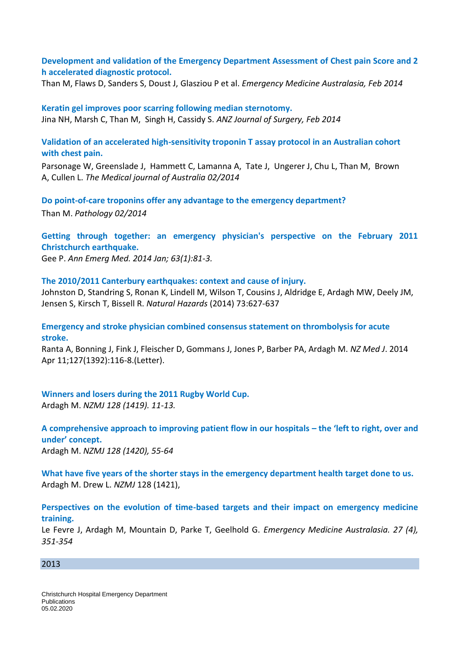**Development and validation of the Emergency Department Assessment of Chest pain Score and 2 h accelerated diagnostic protocol.** 

Than M, Flaws D, Sanders S, Doust J, Glasziou P et al. *Emergency Medicine Australasia, Feb 2014*

**Keratin gel improves poor scarring following median sternotomy.**  Jina NH, Marsh C, Than M, Singh H, Cassidy S. *ANZ Journal of Surgery, Feb 2014*

**[Validation of an accelerated high-sensitivity troponin T assay protocol in an Australian cohort](https://www.researchgate.net/publication/260216382_Validation_of_an_accelerated_high-sensitivity_troponin_T_assay_protocol_in_an_Australian_cohort_with_chest_pain?ev=prf_pub)  [with chest pain.](https://www.researchgate.net/publication/260216382_Validation_of_an_accelerated_high-sensitivity_troponin_T_assay_protocol_in_an_Australian_cohort_with_chest_pain?ev=prf_pub)**

[Parsonage](https://www.researchgate.net/researcher/15045812_William_A_Parsonage) W, [Greenslade](https://www.researchgate.net/researcher/46224709_Jaimi_H_Greenslade) J, [Hammett](https://www.researchgate.net/researcher/75774539_Christopher_J_Hammett) C, [Lamanna](https://www.researchgate.net/researcher/75767404_Arvin_Lamanna) A, [Tate](https://www.researchgate.net/researcher/14939618_Jillian_R_Tate) J, [Ungerer](https://www.researchgate.net/researcher/39699152_Jacobus_P_Ungerer) J, [Chu](https://www.researchgate.net/researcher/11379099_Kevin_Chu) L, Than M, [Brown](https://www.researchgate.net/researcher/11379098_Anthony_F_T_Brown) A, [Cullen](https://www.researchgate.net/researcher/36484553_Louise_Cullen) L. *The Medical journal of Australia 02/2014*

**[Do point-of-care troponins offer any advantage to the emergency department?](https://www.researchgate.net/publication/259882323_Do_point-of-care_troponins_offer_any_advantage_to_the_emergency_department?ev=prf_pub)**

Than M. *Pathology 02/2014*

**Getting through together: an emergency physician's perspective on the February 2011 Christchurch earthquake.** 

Gee P. *Ann Emerg Med. 2014 Jan; 63(1):81-3.*

**The 2010/2011 Canterbury earthquakes: context and cause of injury.**

Johnston D, Standring S, Ronan K, Lindell M, Wilson T, Cousins J, Aldridge E, Ardagh MW, Deely JM, Jensen S, Kirsch T, Bissell R. *Natural Hazards* (2014) 73:627-637

**Emergency and stroke physician combined consensus statement on thrombolysis for acute stroke.** 

Ranta A, Bonning J, Fink J, Fleischer D, Gommans J, Jones P, Barber PA, Ardagh M. *NZ Med J*. 2014 Apr 11;127(1392):116-8.(Letter).

**Winners and losers during the 2011 Rugby World Cup.**  Ardagh M. *NZMJ 128 (1419). 11-13.*

**A comprehensive approach to improving patient flow in our hospitals – the 'left to right, over and under' concept.** Ardagh M. *NZMJ 128 (1420), 55-64*

**What have five years of the shorter stays in the emergency department health target done to us.**  Ardagh M. Drew L. *NZMJ* 128 (1421),

**Perspectives on the evolution of time-based targets and their impact on emergency medicine training.** 

Le Fevre J, Ardagh M, Mountain D, Parke T, Geelhold G. *Emergency Medicine Australasia. 27 (4), 351-354*

#### 2013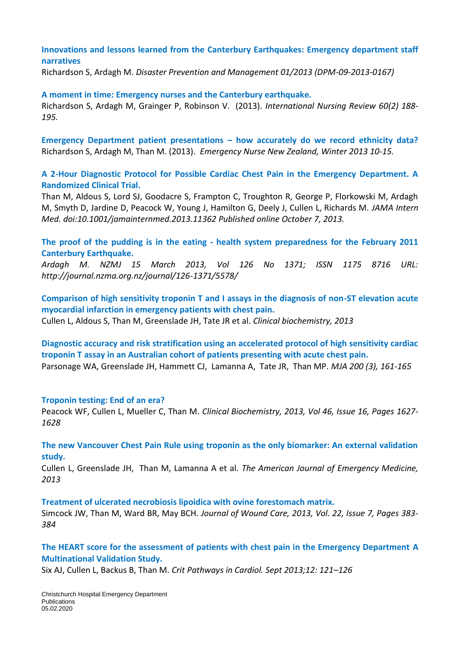### **Innovations and lessons learned from the Canterbury Earthquakes: Emergency department staff narratives**

Richardson S, Ardagh M. *Disaster Prevention and Management 01/2013 (DPM-09-2013-0167)*

#### **A moment in time: Emergency nurses and the Canterbury earthquake.**

Richardson S, Ardagh M, Grainger P, Robinson V. (2013). *International Nursing Review 60(2) 188- 195.*

**Emergency Department patient presentations – how accurately do we record ethnicity data?** Richardson S, Ardagh M, Than M. (2013). *Emergency Nurse New Zealand, Winter 2013 10-15.*

#### **A 2-Hour Diagnostic Protocol for Possible Cardiac Chest Pain in the Emergency Department. A Randomized Clinical Trial.**

Than M, Aldous S, Lord SJ, Goodacre S, Frampton C, Troughton R, George P, Florkowski M, Ardagh M, Smyth D, Jardine D, Peacock W, Young J, Hamilton G, Deely J, Cullen L, Richards M. *JAMA Intern Med. doi:10.1001/jamainternmed.2013.11362 Published online October 7, 2013.*

**The proof of the pudding is in the eating - health system preparedness for the February 2011 Canterbury Earthquake.** 

*Ardagh M. NZMJ 15 March 2013, Vol 126 No 1371; ISSN 1175 8716 URL: http://journal.nzma.org.nz/journal/126-1371/5578/*

**Comparison of high sensitivity troponin T and I assays in the diagnosis of non-ST elevation acute myocardial infarction in emergency patients with chest pain.**  Cullen L, Aldous S, Than M, Greenslade JH, Tate JR et al. *Clinical biochemistry, 2013*

**Diagnostic accuracy and risk stratification using an accelerated protocol of high sensitivity cardiac troponin T assay in an Australian cohort of patients presenting with acute chest pain.**  Parsonage WA, Greenslade JH, Hammett CJ, Lamanna A, Tate JR, Than MP. *MJA 200 (3), 161-165*

#### **Troponin testing: End of an era?**

Peacock WF, Cullen L, Mueller C, Than M. *Clinical Biochemistry, 2013, Vol 46, Issue 16, Pages 1627- 1628*

**The new Vancouver Chest Pain Rule using troponin as the only biomarker: An external validation study.** 

Cullen L, Greenslade JH, Than M, Lamanna A et al. *The American Journal of Emergency Medicine, 2013* 

**Treatment of ulcerated necrobiosis lipoidica with ovine forestomach matrix.** 

Simcock JW, Than M, Ward BR, May BCH. *Journal of Wound Care, 2013, Vol. 22, Issue 7, Pages 383- 384*

### **The HEART score for the assessment of patients with chest pain in the Emergency Department A Multinational Validation Study.**

Six AJ, Cullen L, Backus B, Than M. *Crit Pathways in Cardiol. Sept 2013;12: 121–126*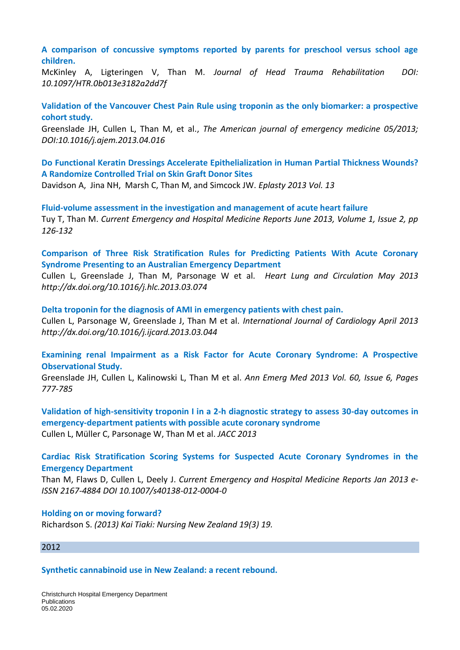**A comparison of concussive symptoms reported by parents for preschool versus school age children.**

McKinley A, Ligteringen V, Than M. *Journal of Head Trauma Rehabilitation DOI: 10.1097/HTR.0b013e3182a2dd7f*

**Validation of the Vancouver Chest Pain Rule using troponin as the only biomarker: a prospective cohort study.**

Greenslade JH, Cullen L, Than M, et al., *The American journal of emergency medicine 05/2013; DOI:10.1016/j.ajem.2013.04.016*

**Do Functional Keratin Dressings Accelerate Epithelialization in Human Partial Thickness Wounds? A Randomize Controlled Trial on Skin Graft Donor Sites** 

Davidson A, Jina NH, Marsh C, Than M, and Simcock JW. *Eplasty 2013 Vol. 13*

**Fluid-volume assessment in the investigation and management of acute heart failure**  Tuy T, Than M. *Current Emergency and Hospital Medicine Reports June 2013, Volume 1, Issue 2, pp 126-132*

**Comparison of Three Risk Stratification Rules for Predicting Patients With Acute Coronary Syndrome Presenting to an Australian Emergency Department** 

Cullen L, Greenslade J, Than M, Parsonage W et al. *Heart Lung and Circulation May 2013 http://dx.doi.org/10.1016/j.hlc.2013.03.074*

**Delta troponin for the diagnosis of AMI in emergency patients with chest pain.** 

Cullen L, Parsonage W, Greenslade J, Than M et al. *International Journal of Cardiology April 2013 http://dx.doi.org/10.1016/j.ijcard.2013.03.044*

**Examining renal Impairment as a Risk Factor for Acute Coronary Syndrome: A Prospective Observational Study.** 

Greenslade JH, Cullen L, Kalinowski L, Than M et al. *Ann Emerg Med 2013 Vol. 60, Issue 6, Pages 777-785*

**Validation of high-sensitivity troponin I in a 2-h diagnostic strategy to assess 30-day outcomes in emergency-department patients with possible acute coronary syndrome**  Cullen L, Müller C, Parsonage W, Than M et al. *JACC 2013*

**Cardiac Risk Stratification Scoring Systems for Suspected Acute Coronary Syndromes in the Emergency Department**

Than M, Flaws D, Cullen L, Deely J. *Current Emergency and Hospital Medicine Reports Jan 2013 e-ISSN 2167-4884 DOI 10.1007/s40138-012-0004-0*

#### **Holding on or moving forward?**

Richardson S. *(2013) Kai Tiaki: Nursing New Zealand 19(3) 19.*

#### 2012

**Synthetic cannabinoid use in New Zealand: a recent rebound.**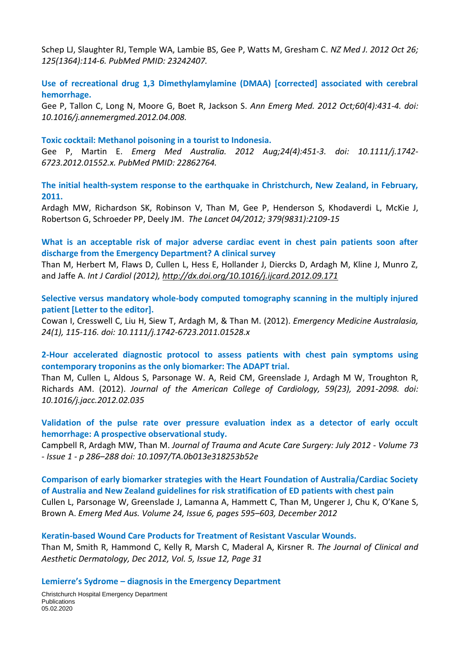Schep LJ, Slaughter RJ, Temple WA, Lambie BS, Gee P, Watts M, Gresham C. *NZ Med J. 2012 Oct 26; 125(1364):114-6. PubMed PMID: 23242407.*

**Use of recreational drug 1,3 Dimethylamylamine (DMAA) [corrected] associated with cerebral hemorrhage.** 

Gee P, Tallon C, Long N, Moore G, Boet R, Jackson S. *Ann Emerg Med. 2012 Oct;60(4):431-4. doi: 10.1016/j.annemergmed.2012.04.008.*

#### **Toxic cocktail: Methanol poisoning in a tourist to Indonesia.**

Gee P, Martin E. *Emerg Med Australia. 2012 Aug;24(4):451-3. doi: 10.1111/j.1742- 6723.2012.01552.x. PubMed PMID: 22862764.*

**The initial health-system response to the earthquake in Christchurch, New Zealand, in February, 2011.** 

Ardagh MW, Richardson SK, Robinson V, Than M, Gee P, Henderson S, Khodaverdi L, McKie J, Robertson G, Schroeder PP, Deely JM. *The Lancet 04/2012; 379(9831):2109-15*

**What is an acceptable risk of major adverse cardiac event in chest pain patients soon after discharge from the Emergency Department? A clinical survey** 

Than M, Herbert M, Flaws D, Cullen L, Hess E, Hollander J, Diercks D, Ardagh M, Kline J, Munro Z, and Jaffe A. *Int J Cardiol (2012),<http://dx.doi.org/10.1016/j.ijcard.2012.09.171>*

**Selective versus mandatory whole-body computed tomography scanning in the multiply injured patient [Letter to the editor].** 

Cowan I, Cresswell C, Liu H, Siew T, Ardagh M, & Than M. (2012). *Emergency Medicine Australasia, 24(1), 115-116. [doi: 10.1111/j.1742-6723.2011.01528.x](javascript:openWinURL()*

**2-Hour accelerated diagnostic protocol to assess patients with chest pain symptoms using contemporary troponins as the only biomarker: The ADAPT trial.** 

Than M, Cullen L, Aldous S, Parsonage W. A, Reid CM, Greenslade J, Ardagh M W, Troughton R, Richards AM. (2012). *Journal of the American College of Cardiology, 59(23), 2091-2098. [doi:](javascript:openWinURL()  [10.1016/j.jacc.2012.02.035](javascript:openWinURL()*

**Validation of the pulse rate over pressure evaluation index as a detector of early occult hemorrhage: A prospective observational study.** 

Campbell R, Ardagh MW, Than M. *Journal of Trauma and Acute Care Surgery: July 2012 - Volume 73 - Issue 1 - p 286–288 doi: 10.1097/TA.0b013e318253b52e*

**Comparison of early biomarker strategies with the Heart Foundation of Australia/Cardiac Society of Australia and New Zealand guidelines for risk stratification of ED patients with chest pain**  Cullen L, Parsonage W, Greenslade J, Lamanna A, Hammett C, Than M, Ungerer J, Chu K, O'Kane S, Brown A. *Emerg Med Aus. Volume 24, Issue 6, pages 595–603, December 2012*

**Keratin-based Wound Care Products for Treatment of Resistant Vascular Wounds.** Than M, Smith R, Hammond C, Kelly R, Marsh C, Maderal A, Kirsner R. *The Journal of Clinical and Aesthetic Dermatology, Dec 2012, Vol. 5, Issue 12, Page 31*

**Lemierre's Sydrome – diagnosis in the Emergency Department**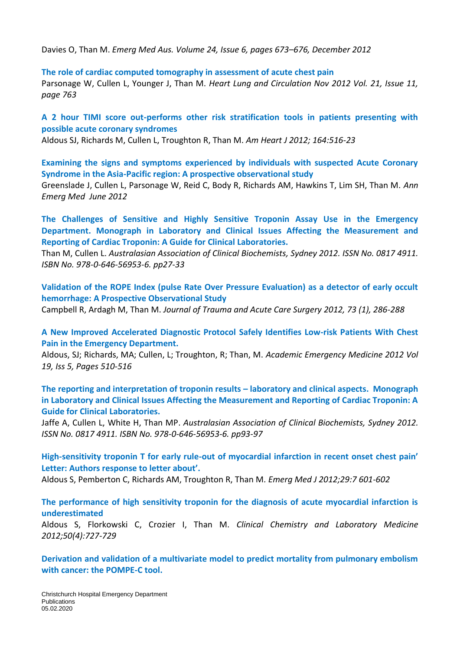Davies O, Than M. *Emerg Med Aus. Volume 24, Issue 6, pages 673–676, December 2012*

#### **The role of cardiac computed tomography in assessment of acute chest pain**

Parsonage W, Cullen L, Younger J, Than M. *Heart Lung and Circulation Nov 2012 Vol. 21, Issue 11, page 763*

### **A 2 hour TIMI score out-performs other risk stratification tools in patients presenting with possible acute coronary syndromes**

Aldous SJ, Richards M, Cullen L, Troughton R, Than M. *Am Heart J 2012; 164:516-23*

**Examining the signs and symptoms experienced by individuals with suspected Acute Coronary Syndrome in the Asia-Pacific region: A prospective observational study**

Greenslade J, Cullen L, Parsonage W, Reid C, Body R, Richards AM, Hawkins T, Lim SH, Than M. *Ann Emerg Med June 2012*

**The Challenges of Sensitive and Highly Sensitive Troponin Assay Use in the Emergency Department. Monograph in Laboratory and Clinical Issues Affecting the Measurement and Reporting of Cardiac Troponin: A Guide for Clinical Laboratories.**

Than M, Cullen L. *Australasian Association of Clinical Biochemists, Sydney 2012. ISSN No. 0817 4911. ISBN No. 978-0-646-56953-6. pp27-33*

**Validation of the ROPE Index (pulse Rate Over Pressure Evaluation) as a detector of early occult hemorrhage: A Prospective Observational Study**

Campbell R, Ardagh M, Than M. *Journal of Trauma and Acute Care Surgery 2012, 73 (1), 286-288*

**A New Improved Accelerated Diagnostic Protocol Safely Identifies Low‐risk Patients With Chest Pain in the Emergency Department.** 

Aldous, SJ; Richards, MA; Cullen, L; Troughton, R; Than, M. *Academic Emergency Medicine 2012 Vol 19, Iss 5, Pages 510-516*

**The reporting and interpretation of troponin results – laboratory and clinical aspects. Monograph in Laboratory and Clinical Issues Affecting the Measurement and Reporting of Cardiac Troponin: A Guide for Clinical Laboratories.** 

Jaffe A, Cullen L, White H, Than MP. *Australasian Association of Clinical Biochemists, Sydney 2012. ISSN No. 0817 4911. ISBN No. 978-0-646-56953-6. pp93-97*

**High-sensitivity troponin T for early rule-out of myocardial infarction in recent onset chest pain' Letter: Authors response to letter about'.** 

Aldous S, Pemberton C, Richards AM, Troughton R, Than M*. Emerg Med J 2012;29:7 601-602*

**The performance of high sensitivity troponin for the diagnosis of acute myocardial infarction is underestimated** 

Aldous S, Florkowski C, Crozier I, Than M. *Clinical Chemistry and Laboratory Medicine 2012;50(4):727-729*

**Derivation and validation of a multivariate model to predict mortality from pulmonary embolism with cancer: the POMPE-C tool.**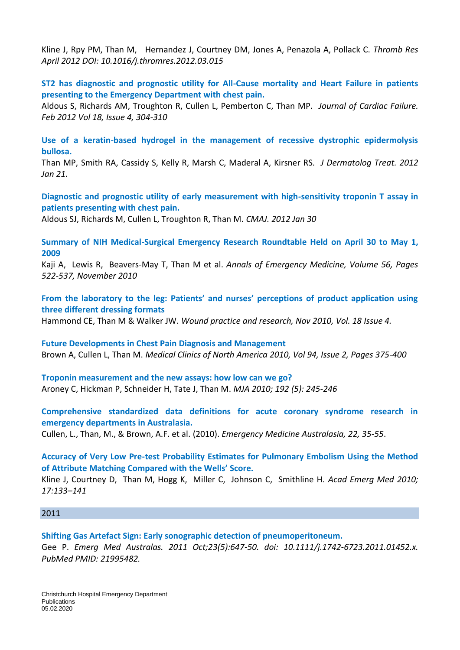Kline J, Rpy PM, Than M, Hernandez J, Courtney DM, Jones A, Penazola A, Pollack C. *Thromb Res April 2012 DOI: 10.1016/j.thromres.2012.03.015*

**ST2 has diagnostic and prognostic utility for All-Cause mortality and Heart Failure in patients presenting to the Emergency Department with chest pain.** 

Aldous S, Richards AM, Troughton R, Cullen L, Pemberton C, Than MP. *Journal of Cardiac Failure. Feb 2012 Vol 18, Issue 4, 304-310*

**Use of a keratin-based hydrogel in the management of recessive dystrophic epidermolysis bullosa.**

Than MP, Smith RA, Cassidy S, Kelly R, Marsh C, Maderal A, Kirsner RS*. J Dermatolog Treat. 2012 Jan 21.*

**Diagnostic and prognostic utility of early measurement with high-sensitivity troponin T assay in patients presenting with chest pain.** 

Aldous SJ, Richards M, Cullen L, Troughton R, Than M. *CMAJ. 2012 Jan 30*

**Summary of NIH Medical-Surgical Emergency Research Roundtable Held on April 30 to May 1, 2009**

Kaji A, Lewis R, Beavers-May T, Than M et al. *Annals of Emergency Medicine, Volume 56, Pages 522-537, November 2010*

**From the laboratory to the leg: Patients' and nurses' perceptions of product application using three different dressing formats** 

Hammond CE, Than M & Walker JW. *Wound practice and research, Nov 2010, Vol. 18 Issue 4.*

**Future Developments in Chest Pain Diagnosis and Management**  Brown A, Cullen L, Than M. *Medical Clinics of North America 2010, Vol 94, Issue 2, Pages 375-400*

**Troponin measurement and the new assays: how low can we go?**  Aroney C, Hickman P, Schneider H, Tate J, Than M. *MJA 2010; 192 (5): 245-246*

**Comprehensive standardized data definitions for acute coronary syndrome research in emergency departments in Australasia.** 

Cullen, L., Than, M., & Brown, A.F. et al. (2010). *Emergency Medicine Australasia, 22, 35-55*.

**Accuracy of Very Low Pre-test Probability Estimates for Pulmonary Embolism Using the Method of Attribute Matching Compared with the Wells' Score.** 

Kline J, Courtney D, Than M, Hogg K, Miller C, Johnson C, Smithline H. *Acad Emerg Med 2010; 17:133–141* 

#### 2011

**Shifting Gas Artefact Sign: Early sonographic detection of pneumoperitoneum.**  Gee P. *Emerg Med Australas. 2011 Oct;23(5):647-50. doi: 10.1111/j.1742-6723.2011.01452.x. PubMed PMID: 21995482.*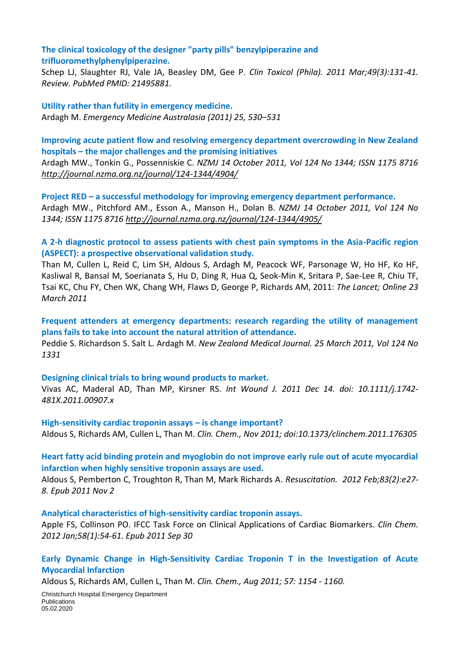**The clinical toxicology of the designer "party pills" benzylpiperazine and trifluoromethylphenylpiperazine.** 

Schep LJ, Slaughter RJ, Vale JA, Beasley DM, Gee P. *Clin Toxicol (Phila). 2011 Mar;49(3):131-41. Review. PubMed PMID: 21495881.*

**Utility rather than futility in emergency medicine.**  Ardagh M. *Emergency Medicine Australasia (2011) 25, 530–531*

**Improving acute patient flow and resolving emergency department overcrowding in New Zealand hospitals – the major challenges and the promising initiatives**

Ardagh MW., Tonkin G., Possenniskie C. *NZMJ 14 October 2011, Vol 124 No 1344; ISSN 1175 8716 <http://journal.nzma.org.nz/journal/124-1344/4904/>*

**Project RED – a successful methodology for improving emergency department performance.**  Ardagh MW., Pitchford AM., Esson A., Manson H., Dolan B. *NZMJ 14 October 2011, Vol 124 No 1344; ISSN 1175 8716<http://journal.nzma.org.nz/journal/124-1344/4905/>*

**A 2-h diagnostic protocol to assess patients with chest pain symptoms in the Asia-Pacific region (ASPECT): a prospective observational validation study.** 

Than M, Cullen L, Reid C, Lim SH, Aldous S, Ardagh M, Peacock WF, Parsonage W, Ho HF, Ko HF, Kasliwal R, Bansal M, Soerianata S, Hu D, Ding R, Hua Q, Seok-Min K, Sritara P, Sae-Lee R, Chiu TF, Tsai KC, Chu FY, Chen WK, Chang WH, Flaws D, George P, Richards AM, 2011: *The Lancet; Online 23 March 2011*

**Frequent attenders at emergency departments: research regarding the utility of management plans fails to take into account the natural attrition of attendance.** 

Peddie S. Richardson S. Salt L. Ardagh M. *New Zealand Medical Journal. 25 March 2011, Vol 124 No 1331*

**Designing clinical trials to bring wound products to market.**

Vivas AC, Maderal AD, Than MP, Kirsner RS. *Int Wound J. 2011 Dec 14. doi: 10.1111/j.1742- 481X.2011.00907.x*

**High-sensitivity cardiac troponin assays – is change important?** Aldous S, Richards AM, Cullen L, Than M. *Clin. Chem., Nov 2011; doi:10.1373/clinchem.2011.176305*

### **Heart fatty acid binding protein and myoglobin do not improve early rule out of acute myocardial infarction when highly sensitive troponin assays are used.**

Aldous S, Pemberton C, Troughton R, Than M, Mark Richards A. *Resuscitation. 2012 Feb;83(2):e27- 8. Epub 2011 Nov 2*

#### **Analytical characteristics of high-sensitivity cardiac troponin assays.**

Apple FS, Collinson PO. IFCC Task Force on Clinical Applications of Cardiac Biomarkers. *Clin Chem. 2012 Jan;58(1):54-61. Epub 2011 Sep 30*

**Early Dynamic Change in High-Sensitivity Cardiac Troponin T in the Investigation of Acute Myocardial Infarction**

Aldous S, Richards AM, Cullen L, Than M. *Clin. Chem., Aug 2011; 57: 1154 - 1160.*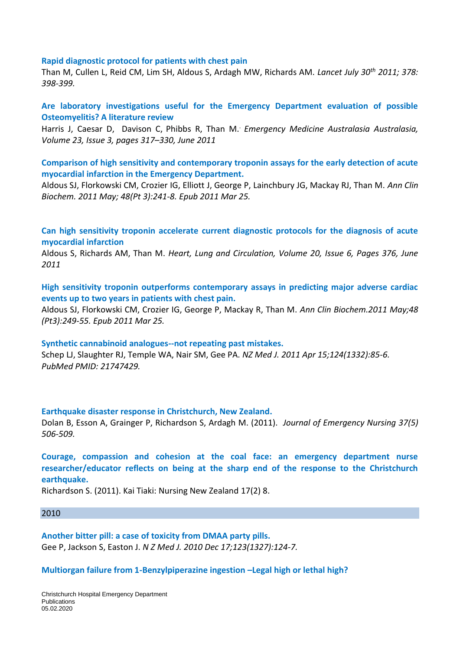#### **Rapid diagnostic protocol for patients with chest pain**

Than M, Cullen L, Reid CM, Lim SH, Aldous S, Ardagh MW, Richards AM. *Lancet July 30th 2011; 378: 398-399.*

**Are laboratory investigations useful for the Emergency Department evaluation of possible Osteomyelitis? A literature review** 

Harris J, Caesar D, Davison C, Phibbs R, Than M.. *Emergency Medicine Australasia Australasia, [Volume 23, Issue 3, p](http://onlinelibrary.wiley.com/doi/10.1111/emm.2011.23.issue-3/issuetoc)ages 317–330, June 2011*

**Comparison of high sensitivity and contemporary troponin assays for the early detection of acute myocardial infarction in the Emergency Department.** 

Aldous SJ, Florkowski CM, Crozier IG, Elliott J, George P, Lainchbury JG, Mackay RJ, Than M. *Ann Clin Biochem. 2011 May; 48(Pt 3):241-8. Epub 2011 Mar 25.*

**Can high sensitivity troponin accelerate current diagnostic protocols for the diagnosis of acute myocardial infarction** 

Aldous S, Richards AM, Than M. *Heart, Lung and Circulation, Volume 20, Issue 6, Pages 376, June 2011*

**High sensitivity troponin outperforms contemporary assays in predicting major adverse cardiac events up to two years in patients with chest pain.** 

Aldous SJ, Florkowski CM, Crozier IG, George P, Mackay R, Than M. *Ann Clin Biochem.2011 May;48 (Pt3):249-55. Epub 2011 Mar 25.*

**Synthetic cannabinoid analogues--not repeating past mistakes.**  Schep LJ, Slaughter RJ, Temple WA, Nair SM, Gee PA. *NZ Med J. 2011 Apr 15;124(1332):85-6. PubMed PMID: 21747429.*

**Earthquake disaster response in Christchurch, New Zealand.** 

Dolan B, Esson A, Grainger P, Richardson S, Ardagh M. (2011). *Journal of Emergency Nursing 37(5) 506-509.*

**Courage, compassion and cohesion at the coal face: an emergency department nurse researcher/educator reflects on being at the sharp end of the response to the Christchurch earthquake.** 

Richardson S. (2011). Kai Tiaki: Nursing New Zealand 17(2) 8.

#### 2010

**Another bitter pill: a case of toxicity from DMAA party pills.**  Gee P, Jackson S, Easton J. *N Z Med J. 2010 Dec 17;123(1327):124-7.*

**Multiorgan failure from 1-Benzylpiperazine ingestion –Legal high or lethal high?**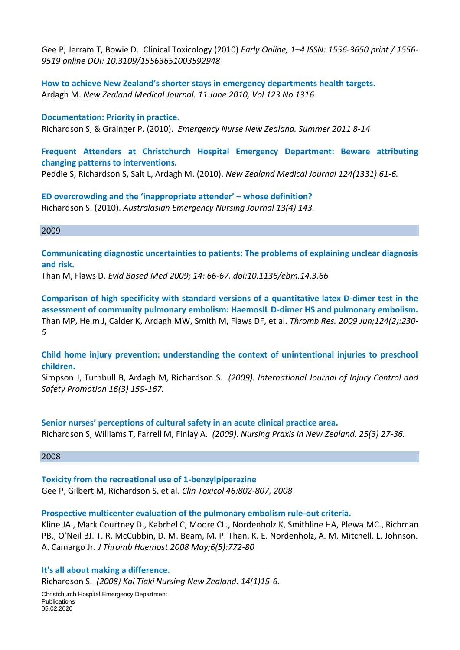Gee P, Jerram T, Bowie D. Clinical Toxicology (2010) *Early Online, 1–4 ISSN: 1556-3650 print / 1556- 9519 online DOI: 10.3109/15563651003592948*

**How to achieve New Zealand's shorter stays in emergency departments health targets.**  Ardagh M. *New Zealand Medical Journal. 11 June 2010, Vol 123 No 1316*

**Documentation: Priority in practice.**  Richardson S, & Grainger P. (2010). *Emergency Nurse New Zealand. Summer 2011 8-14*

**Frequent Attenders at Christchurch Hospital Emergency Department: Beware attributing changing patterns to interventions.** 

Peddie S, Richardson S, Salt L, Ardagh M. (2010). *New Zealand Medical Journal 124(1331) 61-6.*

**ED overcrowding and the 'inappropriate attender' – whose definition?**  Richardson S. (2010). *Australasian Emergency Nursing Journal 13(4) 143.*

#### 2009

**Communicating diagnostic uncertainties to patients: The problems of explaining unclear diagnosis and risk.** 

Than M, Flaws D. *Evid Based Med 2009; 14: 66-67. doi:10.1136/ebm.14.3.66*

**Comparison of high specificity with standard versions of a quantitative latex D-dimer test in the assessment of community pulmonary embolism: HaemosIL D-dimer HS and pulmonary embolism.** Than MP, Helm J, Calder K, Ardagh MW, Smith M, Flaws DF, et al. *Thromb Res. 2009 Jun;124(2):230- 5*

**Child home injury prevention: understanding the context of unintentional injuries to preschool children.**

Simpson J, Turnbull B, Ardagh M, Richardson S. *(2009). International Journal of Injury Control and Safety Promotion 16(3) 159-167.*

#### **Senior nurses' perceptions of cultural safety in an acute clinical practice area.**

Richardson S, Williams T, Farrell M, Finlay A. *(2009). Nursing Praxis in New Zealand. 25(3) 27-36.*

#### 2008

**Toxicity from the recreational use of 1-benzylpiperazine** 

Gee P, Gilbert M, Richardson S, et al. *Clin Toxicol 46:802-807, 2008*

#### **Prospective multicenter evaluation of the pulmonary embolism rule-out criteria.**

Kline JA., Mark Courtney D., Kabrhel C, Moore CL., Nordenholz K, Smithline HA, Plewa MC., Richman PB., O'Neil BJ. T. R. McCubbin, D. M. Beam, M. P. Than, K. E. Nordenholz, A. M. Mitchell. L. Johnson. A. Camargo Jr. *J Thromb Haemost 2008 May;6(5):772-80*

#### **It's all about making a difference.**

Richardson S. *(2008) Kai Tiaki Nursing New Zealand. 14(1)15-6.*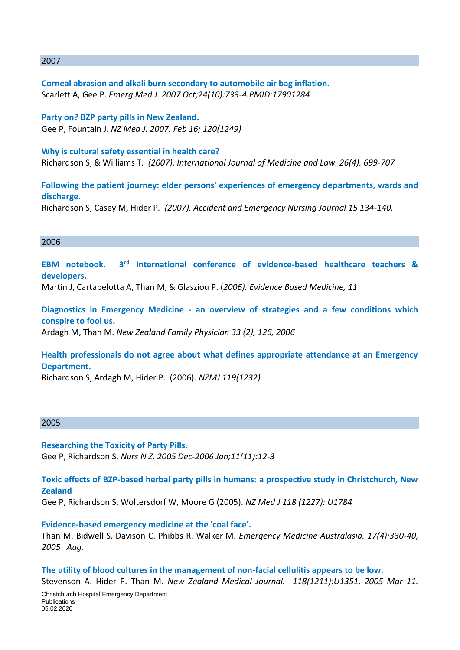#### 2007

**Corneal abrasion and alkali burn secondary to automobile air bag inflation.**  Scarlett A, Gee P. *Emerg Med J. 2007 Oct;24(10):733-4.PMID:17901284*

**Party on? BZP party pills in New Zealand.**  Gee P, Fountain J. *NZ Med J. 2007. Feb 16; 120(1249)*

**Why is cultural safety essential in health care?**  Richardson S, & Williams T. *(2007). International Journal of Medicine and Law. 26(4), 699-707*

**Following the patient journey: elder persons' experiences of emergency departments, wards and discharge.** 

Richardson S, Casey M, Hider P*. (2007). Accident and Emergency Nursing Journal 15 134-140.*

#### 2006

**EBM notebook. 3rd International conference of evidence-based healthcare teachers & developers.**  Martin J, Cartabelotta A, Than M, & Glasziou P. (*2006). Evidence Based Medicine, 11*

**Diagnostics in Emergency Medicine - [an overview of strategies and a few conditions which](http://scholar.google.co.nz/citations?view_op=view_citation&hl=en&user=E48Vn-QAAAAJ&citation_for_view=E48Vn-QAAAAJ:aqlVkmm33-oC)  [conspire to fool us.](http://scholar.google.co.nz/citations?view_op=view_citation&hl=en&user=E48Vn-QAAAAJ&citation_for_view=E48Vn-QAAAAJ:aqlVkmm33-oC)** Ardagh M, Than M. *New Zealand Family Physician 33 (2), 126, 2006*

**Health professionals do not agree about what defines appropriate attendance at an Emergency Department.** 

Richardson S, Ardagh M, Hider P. (2006). *NZMJ 119(1232)*

#### 2005

**Researching the Toxicity of Party Pills.**  Gee P, Richardson S. *Nurs N Z. 2005 Dec-2006 Jan;11(11):12-3*

**Toxic effects of BZP-based herbal party pills in humans: a prospective study in Christchurch, New Zealand**  Gee P, Richardson S, Woltersdorf W, Moore G (2005). *NZ Med J 118 (1227): U1784*

**Evidence-based emergency medicine at the 'coal face'.**  Than M. Bidwell S. Davison C. Phibbs R. Walker M. *Emergency Medicine Australasia. 17(4):330-40, 2005 Aug.*

**The utility of blood cultures in the management of non-facial cellulitis appears to be low.** Stevenson A. Hider P. Than M. *New Zealand Medical Journal. 118(1211):U1351, 2005 Mar 11.*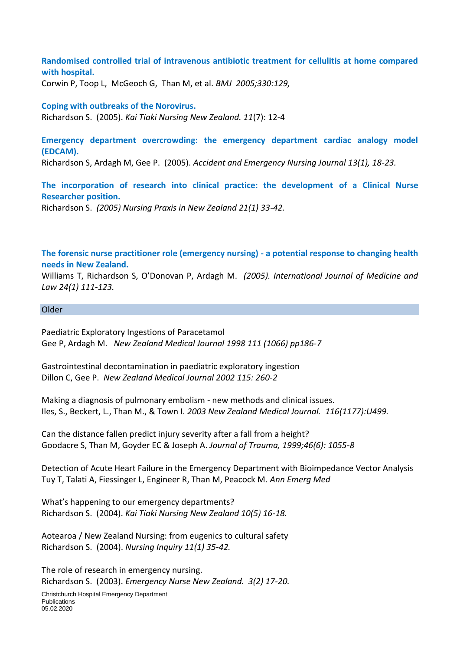**Randomised controlled trial of intravenous antibiotic treatment for cellulitis at home compared with hospital.** 

Corwin P, Toop L, McGeoch G, Than M, et al. *BMJ 2005;330:129,*

#### **Coping with outbreaks of the Norovirus.**

Richardson S. (2005). *Kai Tiaki Nursing New Zealand. 11*(7): 12-4

**Emergency department overcrowding: the emergency department cardiac analogy model (EDCAM).** 

Richardson S, Ardagh M, Gee P. (2005). *Accident and Emergency Nursing Journal 13(1), 18-23.*

**The incorporation of research into clinical practice: the development of a Clinical Nurse Researcher position.** 

Richardson S. *(2005) Nursing Praxis in New Zealand 21(1) 33-42.*

**The forensic nurse practitioner role (emergency nursing) - a potential response to changing health needs in New Zealand.** 

Williams T, Richardson S, O'Donovan P, Ardagh M. *(2005). International Journal of Medicine and Law 24(1) 111-123.*

#### Older

Paediatric Exploratory Ingestions of Paracetamol Gee P, Ardagh M. *New Zealand Medical Journal 1998 111 (1066) pp186-7*

Gastrointestinal decontamination in paediatric exploratory ingestion Dillon C, Gee P. *New Zealand Medical Journal 2002 115: 260-2*

Making a diagnosis of pulmonary embolism - new methods and clinical issues. Iles, S., Beckert, L., Than M., & Town I. *2003 New Zealand Medical Journal. 116(1177):U499.*

Can the distance fallen predict injury severity after a fall from a height? Goodacre S, Than M, Goyder EC & Joseph A. *Journal of Trauma, 1999;46(6): 1055-8*

Detection of Acute Heart Failure in the Emergency Department with Bioimpedance Vector Analysis Tuy T, Talati A, Fiessinger L, Engineer R, Than M, Peacock M. *Ann Emerg Med*

What's happening to our emergency departments? Richardson S. (2004). *Kai Tiaki Nursing New Zealand 10(5) 16-18.*

Aotearoa / New Zealand Nursing: from eugenics to cultural safety Richardson S. (2004). *Nursing Inquiry 11(1) 35-42.*

The role of research in emergency nursing. Richardson S. (2003). *Emergency Nurse New Zealand. 3(2) 17-20.*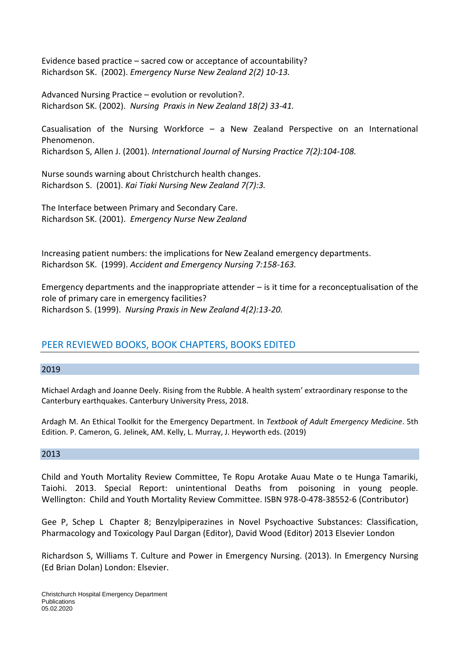Evidence based practice – sacred cow or acceptance of accountability? Richardson SK. (2002). *Emergency Nurse New Zealand 2(2) 10-13.*

Advanced Nursing Practice – evolution or revolution?. Richardson SK. (2002). *Nursing Praxis in New Zealand 18(2) 33-41.*

Casualisation of the Nursing Workforce – a New Zealand Perspective on an International Phenomenon.

Richardson S, Allen J. (2001). *International Journal of Nursing Practice 7(2):104-108.* 

Nurse sounds warning about Christchurch health changes. Richardson S. (2001). *Kai Tiaki Nursing New Zealand 7(7):3.*

The Interface between Primary and Secondary Care. Richardson SK. (2001). *Emergency Nurse New Zealand* 

Increasing patient numbers: the implications for New Zealand emergency departments. Richardson SK. (1999). *Accident and Emergency Nursing 7:158-163.*

Emergency departments and the inappropriate attender  $-$  is it time for a reconceptualisation of the role of primary care in emergency facilities? Richardson S. (1999). *Nursing Praxis in New Zealand 4(2):13-20.*

## PEER REVIEWED BOOKS, BOOK CHAPTERS, BOOKS EDITED

#### 2019

Michael Ardagh and Joanne Deely. Rising from the Rubble. A health system' extraordinary response to the Canterbury earthquakes. Canterbury University Press, 2018.

Ardagh M. An Ethical Toolkit for the Emergency Department. In *Textbook of Adult Emergency Medicine*. 5th Edition. P. Cameron, G. Jelinek, AM. Kelly, L. Murray, J. Heyworth eds. (2019)

#### 2013

Child and Youth Mortality Review Committee, Te Ropu Arotake Auau Mate o te Hunga Tamariki, Taiohi. 2013. Special Report: unintentional Deaths from poisoning in young people. Wellington: Child and Youth Mortality Review Committee. ISBN 978-0-478-38552-6 (Contributor)

Gee P, Schep L Chapter 8; Benzylpiperazines in Novel Psychoactive Substances: Classification, Pharmacology and Toxicology Paul Dargan (Editor), David Wood (Editor) 2013 Elsevier London

Richardson S, Williams T. Culture and Power in Emergency Nursing. (2013). In Emergency Nursing (Ed Brian Dolan) London: Elsevier.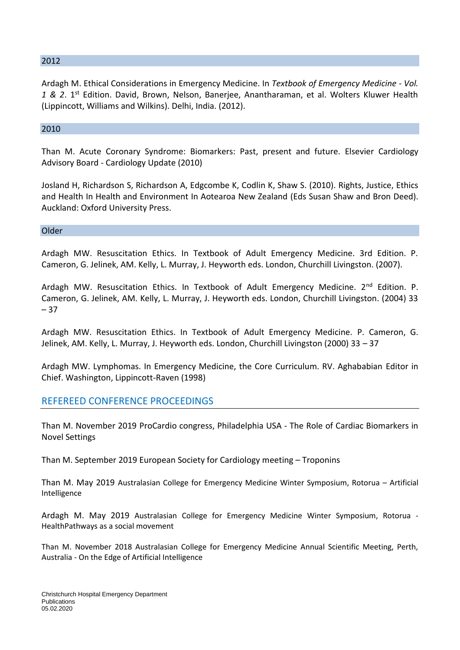#### 2012

Ardagh M. Ethical Considerations in Emergency Medicine. In *Textbook of Emergency Medicine - Vol.*  1 & 2. 1<sup>st</sup> Edition. David, Brown, Nelson, Banerjee, Anantharaman, et al. Wolters Kluwer Health (Lippincott, Williams and Wilkins). Delhi, India. (2012).

#### 2010

Than M. Acute Coronary Syndrome: Biomarkers: Past, present and future. Elsevier Cardiology Advisory Board - Cardiology Update (2010)

Josland H, Richardson S, Richardson A, Edgcombe K, Codlin K, Shaw S. (2010). Rights, Justice, Ethics and Health In Health and Environment In Aotearoa New Zealand (Eds Susan Shaw and Bron Deed). Auckland: Oxford University Press.

Older

Ardagh MW. Resuscitation Ethics. In Textbook of Adult Emergency Medicine. 3rd Edition. P. Cameron, G. Jelinek, AM. Kelly, L. Murray, J. Heyworth eds. London, Churchill Livingston. (2007).

Ardagh MW. Resuscitation Ethics. In Textbook of Adult Emergency Medicine. 2<sup>nd</sup> Edition. P. Cameron, G. Jelinek, AM. Kelly, L. Murray, J. Heyworth eds. London, Churchill Livingston. (2004) 33 – 37

Ardagh MW. Resuscitation Ethics. In Textbook of Adult Emergency Medicine. P. Cameron, G. Jelinek, AM. Kelly, L. Murray, J. Heyworth eds. London, Churchill Livingston (2000) 33 – 37

Ardagh MW. Lymphomas. In Emergency Medicine, the Core Curriculum. RV. Aghababian Editor in Chief. Washington, Lippincott-Raven (1998)

#### REFEREED CONFERENCE PROCEEDINGS

Than M. November 2019 ProCardio congress, Philadelphia USA - The Role of Cardiac Biomarkers in Novel Settings

Than M. September 2019 European Society for Cardiology meeting – Troponins

Than M. May 2019 Australasian College for Emergency Medicine Winter Symposium, Rotorua – Artificial Intelligence

Ardagh M. May 2019 Australasian College for Emergency Medicine Winter Symposium, Rotorua - HealthPathways as a social movement

Than M. November 2018 Australasian College for Emergency Medicine Annual Scientific Meeting, Perth, Australia - On the Edge of Artificial Intelligence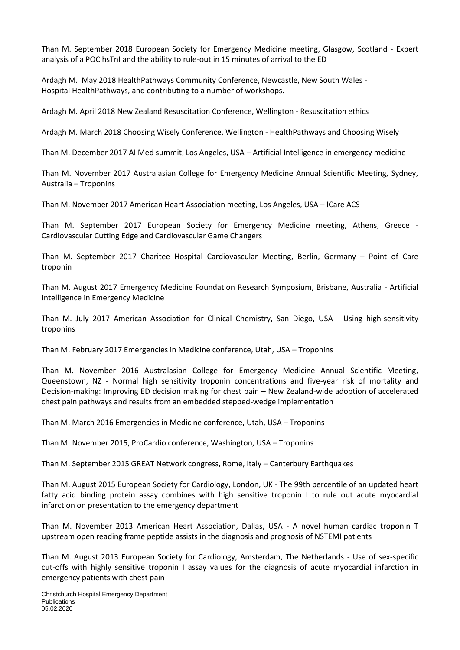Than M. September 2018 European Society for Emergency Medicine meeting, Glasgow, Scotland - Expert analysis of a POC hsTnI and the ability to rule-out in 15 minutes of arrival to the ED

Ardagh M. May 2018 HealthPathways Community Conference, Newcastle, New South Wales - Hospital HealthPathways, and contributing to a number of workshops.

Ardagh M. April 2018 New Zealand Resuscitation Conference, Wellington - Resuscitation ethics

Ardagh M. March 2018 Choosing Wisely Conference, Wellington - HealthPathways and Choosing Wisely

Than M. December 2017 AI Med summit, Los Angeles, USA – Artificial Intelligence in emergency medicine

Than M. November 2017 Australasian College for Emergency Medicine Annual Scientific Meeting, Sydney, Australia – Troponins

Than M. November 2017 American Heart Association meeting, Los Angeles, USA – ICare ACS

Than M. September 2017 European Society for Emergency Medicine meeting, Athens, Greece - Cardiovascular Cutting Edge and Cardiovascular Game Changers

Than M. September 2017 Charitee Hospital Cardiovascular Meeting, Berlin, Germany – Point of Care troponin

Than M. August 2017 Emergency Medicine Foundation Research Symposium, Brisbane, Australia - Artificial Intelligence in Emergency Medicine

Than M. July 2017 American Association for Clinical Chemistry, San Diego, USA - Using high-sensitivity troponins

Than M. February 2017 Emergencies in Medicine conference, Utah, USA – Troponins

Than M. November 2016 Australasian College for Emergency Medicine Annual Scientific Meeting, Queenstown, NZ - Normal high sensitivity troponin concentrations and five-year risk of mortality and Decision-making: Improving ED decision making for chest pain – New Zealand-wide adoption of accelerated chest pain pathways and results from an embedded stepped-wedge implementation

Than M. March 2016 Emergencies in Medicine conference, Utah, USA – Troponins

Than M. November 2015, ProCardio conference, Washington, USA – Troponins

Than M. September 2015 GREAT Network congress, Rome, Italy – Canterbury Earthquakes

Than M. August 2015 European Society for Cardiology, London, UK - The 99th percentile of an updated heart fatty acid binding protein assay combines with high sensitive troponin I to rule out acute myocardial infarction on presentation to the emergency department

Than M. November 2013 American Heart Association, Dallas, USA - A novel human cardiac troponin T upstream open reading frame peptide assists in the diagnosis and prognosis of NSTEMI patients

Than M. August 2013 European Society for Cardiology, Amsterdam, The Netherlands - Use of sex-specific cut-offs with highly sensitive troponin I assay values for the diagnosis of acute myocardial infarction in emergency patients with chest pain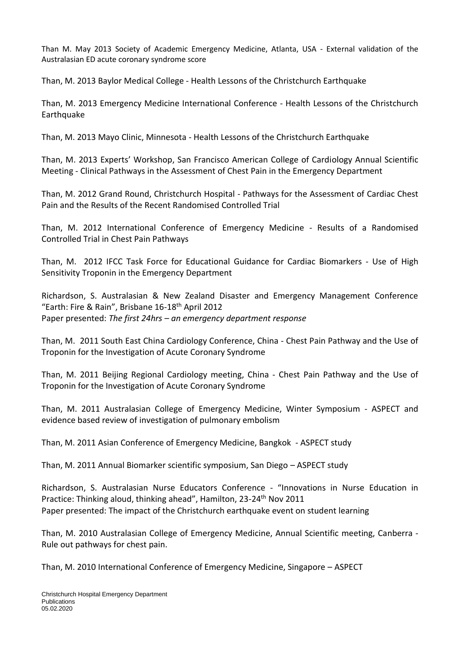Than M. May 2013 Society of Academic Emergency Medicine, Atlanta, USA - External validation of the Australasian ED acute coronary syndrome score

Than, M. 2013 Baylor Medical College - Health Lessons of the Christchurch Earthquake

Than, M. 2013 Emergency Medicine International Conference - Health Lessons of the Christchurch **Earthquake** 

Than, M. 2013 Mayo Clinic, Minnesota - Health Lessons of the Christchurch Earthquake

Than, M. 2013 Experts' Workshop, San Francisco American College of Cardiology Annual Scientific Meeting - Clinical Pathways in the Assessment of Chest Pain in the Emergency Department

Than, M. 2012 Grand Round, Christchurch Hospital - Pathways for the Assessment of Cardiac Chest Pain and the Results of the Recent Randomised Controlled Trial

Than, M. 2012 International Conference of Emergency Medicine - Results of a Randomised Controlled Trial in Chest Pain Pathways

Than, M. 2012 IFCC Task Force for Educational Guidance for Cardiac Biomarkers - Use of High Sensitivity Troponin in the Emergency Department

Richardson, S. Australasian & New Zealand Disaster and Emergency Management Conference "Earth: Fire & Rain", Brisbane 16-18th April 2012 Paper presented: *The first 24hrs – an emergency department response*

Than, M. 2011 South East China Cardiology Conference, China - Chest Pain Pathway and the Use of Troponin for the Investigation of Acute Coronary Syndrome

Than, M. 2011 Beijing Regional Cardiology meeting, China - Chest Pain Pathway and the Use of Troponin for the Investigation of Acute Coronary Syndrome

Than, M. 2011 Australasian College of Emergency Medicine, Winter Symposium - ASPECT and evidence based review of investigation of pulmonary embolism

Than, M. 2011 Asian Conference of Emergency Medicine, Bangkok - ASPECT study

Than, M. 2011 Annual Biomarker scientific symposium, San Diego – ASPECT study

Richardson, S. Australasian Nurse Educators Conference - "Innovations in Nurse Education in Practice: Thinking aloud, thinking ahead", Hamilton, 23-24<sup>th</sup> Nov 2011 Paper presented: The impact of the Christchurch earthquake event on student learning

Than, M. 2010 Australasian College of Emergency Medicine, Annual Scientific meeting, Canberra - Rule out pathways for chest pain.

Than, M. 2010 International Conference of Emergency Medicine, Singapore – ASPECT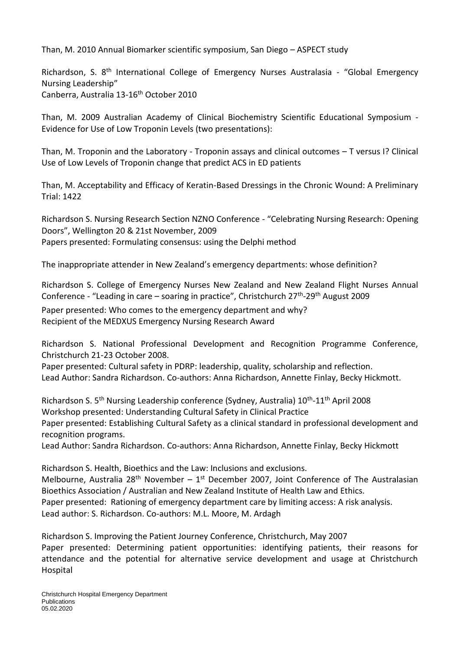Than, M. 2010 Annual Biomarker scientific symposium, San Diego – ASPECT study

Richardson, S. 8<sup>th</sup> International College of Emergency Nurses Australasia - "Global Emergency Nursing Leadership" Canberra, Australia 13-16th October 2010

Than, M. 2009 Australian Academy of Clinical Biochemistry Scientific Educational Symposium - Evidence for Use of Low Troponin Levels (two presentations):

Than, M. Troponin and the Laboratory - Troponin assays and clinical outcomes – T versus I? Clinical Use of Low Levels of Troponin change that predict ACS in ED patients

Than, M. Acceptability and Efficacy of Keratin-Based Dressings in the Chronic Wound: A Preliminary Trial: 1422

Richardson S. Nursing Research Section NZNO Conference - "Celebrating Nursing Research: Opening Doors", Wellington 20 & 21st November, 2009 Papers presented: Formulating consensus: using the Delphi method

The inappropriate attender in New Zealand's emergency departments: whose definition?

Richardson S. College of Emergency Nurses New Zealand and New Zealand Flight Nurses Annual Conference - "Leading in care – soaring in practice", Christchurch 27<sup>th</sup>-29<sup>th</sup> August 2009

Paper presented: Who comes to the emergency department and why? Recipient of the MEDXUS Emergency Nursing Research Award

Richardson S. National Professional Development and Recognition Programme Conference, Christchurch 21-23 October 2008.

Paper presented: Cultural safety in PDRP: leadership, quality, scholarship and reflection. Lead Author: Sandra Richardson. Co-authors: Anna Richardson, Annette Finlay, Becky Hickmott.

Richardson S. 5<sup>th</sup> Nursing Leadership conference (Sydney, Australia) 10<sup>th</sup>-11<sup>th</sup> April 2008 Workshop presented: Understanding Cultural Safety in Clinical Practice Paper presented: Establishing Cultural Safety as a clinical standard in professional development and recognition programs.

Lead Author: Sandra Richardson. Co-authors: Anna Richardson, Annette Finlay, Becky Hickmott

Richardson S. Health, Bioethics and the Law: Inclusions and exclusions. Melbourne, Australia 28<sup>th</sup> November –  $1<sup>st</sup>$  December 2007, Joint Conference of The Australasian Bioethics Association / Australian and New Zealand Institute of Health Law and Ethics. Paper presented: Rationing of emergency department care by limiting access: A risk analysis. Lead author: S. Richardson. Co-authors: M.L. Moore, M. Ardagh

Richardson S. Improving the Patient Journey Conference, Christchurch, May 2007 Paper presented: Determining patient opportunities: identifying patients, their reasons for attendance and the potential for alternative service development and usage at Christchurch Hospital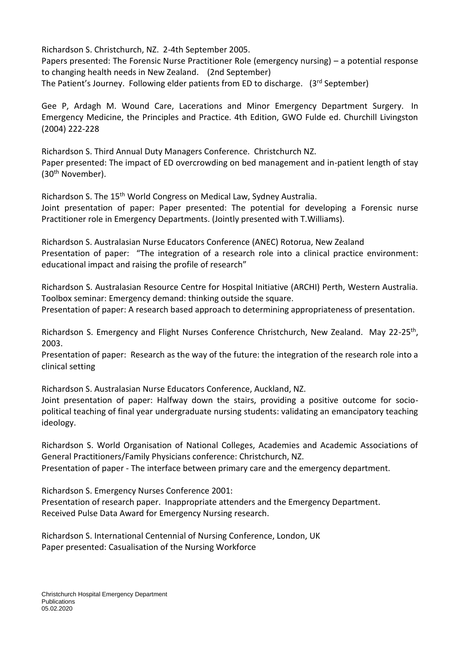Richardson S. Christchurch, NZ. 2-4th September 2005. Papers presented: The Forensic Nurse Practitioner Role (emergency nursing) – a potential response to changing health needs in New Zealand. (2nd September) The Patient's Journey. Following elder patients from ED to discharge. (3rd September)

Gee P, Ardagh M. Wound Care, Lacerations and Minor Emergency Department Surgery. In Emergency Medicine, the Principles and Practice. 4th Edition, GWO Fulde ed. Churchill Livingston (2004) 222-228

Richardson S. Third Annual Duty Managers Conference. Christchurch NZ. Paper presented: The impact of ED overcrowding on bed management and in-patient length of stay (30th November).

Richardson S. The 15<sup>th</sup> World Congress on Medical Law, Sydney Australia. Joint presentation of paper: Paper presented: The potential for developing a Forensic nurse Practitioner role in Emergency Departments. (Jointly presented with T.Williams).

Richardson S. Australasian Nurse Educators Conference (ANEC) Rotorua, New Zealand Presentation of paper: "The integration of a research role into a clinical practice environment: educational impact and raising the profile of research"

Richardson S. Australasian Resource Centre for Hospital Initiative (ARCHI) Perth, Western Australia. Toolbox seminar: Emergency demand: thinking outside the square.

Presentation of paper: A research based approach to determining appropriateness of presentation.

Richardson S. Emergency and Flight Nurses Conference Christchurch, New Zealand. May 22-25<sup>th</sup>, 2003.

Presentation of paper: Research as the way of the future: the integration of the research role into a clinical setting

Richardson S. Australasian Nurse Educators Conference, Auckland, NZ.

Joint presentation of paper: Halfway down the stairs, providing a positive outcome for sociopolitical teaching of final year undergraduate nursing students: validating an emancipatory teaching ideology.

Richardson S. World Organisation of National Colleges, Academies and Academic Associations of General Practitioners/Family Physicians conference: Christchurch, NZ.

Presentation of paper - The interface between primary care and the emergency department.

Richardson S. Emergency Nurses Conference 2001:

Presentation of research paper. Inappropriate attenders and the Emergency Department. Received Pulse Data Award for Emergency Nursing research.

Richardson S. International Centennial of Nursing Conference, London, UK Paper presented: Casualisation of the Nursing Workforce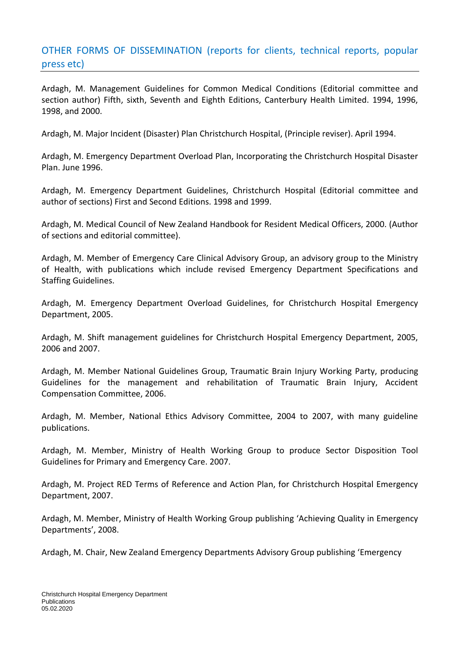# OTHER FORMS OF DISSEMINATION (reports for clients, technical reports, popular press etc)

Ardagh, M. Management Guidelines for Common Medical Conditions (Editorial committee and section author) Fifth, sixth, Seventh and Eighth Editions, Canterbury Health Limited. 1994, 1996, 1998, and 2000.

Ardagh, M. Major Incident (Disaster) Plan Christchurch Hospital, (Principle reviser). April 1994.

Ardagh, M. Emergency Department Overload Plan, Incorporating the Christchurch Hospital Disaster Plan. June 1996.

Ardagh, M. Emergency Department Guidelines, Christchurch Hospital (Editorial committee and author of sections) First and Second Editions. 1998 and 1999.

Ardagh, M. Medical Council of New Zealand Handbook for Resident Medical Officers, 2000. (Author of sections and editorial committee).

Ardagh, M. Member of Emergency Care Clinical Advisory Group, an advisory group to the Ministry of Health, with publications which include revised Emergency Department Specifications and Staffing Guidelines.

Ardagh, M. Emergency Department Overload Guidelines, for Christchurch Hospital Emergency Department, 2005.

Ardagh, M. Shift management guidelines for Christchurch Hospital Emergency Department, 2005, 2006 and 2007.

Ardagh, M. Member National Guidelines Group, Traumatic Brain Injury Working Party, producing Guidelines for the management and rehabilitation of Traumatic Brain Injury, Accident Compensation Committee, 2006.

Ardagh, M. Member, National Ethics Advisory Committee, 2004 to 2007, with many guideline publications.

Ardagh, M. Member, Ministry of Health Working Group to produce Sector Disposition Tool Guidelines for Primary and Emergency Care. 2007.

Ardagh, M. Project RED Terms of Reference and Action Plan, for Christchurch Hospital Emergency Department, 2007.

Ardagh, M. Member, Ministry of Health Working Group publishing 'Achieving Quality in Emergency Departments', 2008.

Ardagh, M. Chair, New Zealand Emergency Departments Advisory Group publishing 'Emergency